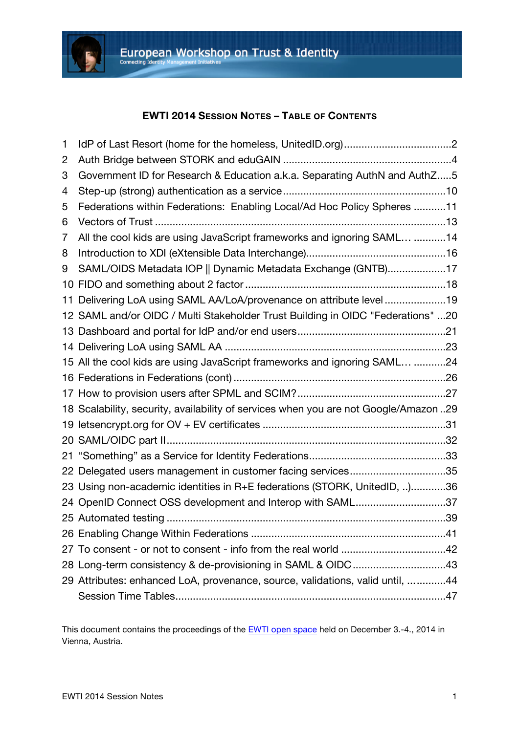

### **EWTI 2014 SESSION NOTES – TABLE OF CONTENTS**

| 1  |                                                                                     |  |
|----|-------------------------------------------------------------------------------------|--|
| 2  |                                                                                     |  |
| 3  | Government ID for Research & Education a.k.a. Separating AuthN and AuthZ5           |  |
| 4  |                                                                                     |  |
| 5  | Federations within Federations: Enabling Local/Ad Hoc Policy Spheres 11             |  |
| 6  |                                                                                     |  |
| 7  | All the cool kids are using JavaScript frameworks and ignoring SAML 14              |  |
| 8  |                                                                                     |  |
| 9  | SAML/OIDS Metadata IOP    Dynamic Metadata Exchange (GNTB)17                        |  |
| 10 |                                                                                     |  |
| 11 | Delivering LoA using SAML AA/LoA/provenance on attribute level 19                   |  |
|    | 12 SAML and/or OIDC / Multi Stakeholder Trust Building in OIDC "Federations" 20     |  |
|    |                                                                                     |  |
|    |                                                                                     |  |
|    | 15 All the cool kids are using JavaScript frameworks and ignoring SAML 24           |  |
|    |                                                                                     |  |
|    |                                                                                     |  |
|    | 18 Scalability, security, availability of services when you are not Google/Amazon29 |  |
|    |                                                                                     |  |
|    |                                                                                     |  |
| 21 |                                                                                     |  |
|    | 22 Delegated users management in customer facing services35                         |  |
|    | 23 Using non-academic identities in R+E federations (STORK, UnitedID, )36           |  |
|    | 24 OpenID Connect OSS development and Interop with SAML37                           |  |
|    |                                                                                     |  |
|    |                                                                                     |  |
|    |                                                                                     |  |
|    | 28 Long-term consistency & de-provisioning in SAML & OIDC43                         |  |
|    | 29 Attributes: enhanced LoA, provenance, source, validations, valid until, 44       |  |
|    |                                                                                     |  |

This document contains the proceedings of the **EWTI** open space held on December 3.-4., 2014 in Vienna, Austria.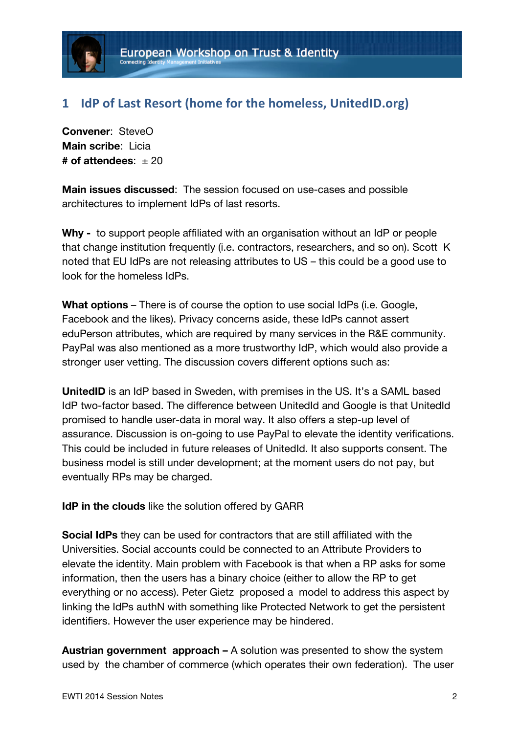## 1 **IdP** of Last Resort (home for the homeless, UnitedID.org)

**Convener**: SteveO **Main scribe**: Licia  $#$  of attendees:  $+20$ 

**Main issues discussed**: The session focused on use-cases and possible architectures to implement IdPs of last resorts.

**Why -** to support people affiliated with an organisation without an IdP or people that change institution frequently (i.e. contractors, researchers, and so on). Scott K noted that EU IdPs are not releasing attributes to US – this could be a good use to look for the homeless IdPs.

**What options** – There is of course the option to use social IdPs (i.e. Google, Facebook and the likes). Privacy concerns aside, these IdPs cannot assert eduPerson attributes, which are required by many services in the R&E community. PayPal was also mentioned as a more trustworthy IdP, which would also provide a stronger user vetting. The discussion covers different options such as:

**UnitedID** is an IdP based in Sweden, with premises in the US. It's a SAML based IdP two-factor based. The difference between UnitedId and Google is that UnitedId promised to handle user-data in moral way. It also offers a step-up level of assurance. Discussion is on-going to use PayPal to elevate the identity verifications. This could be included in future releases of UnitedId. It also supports consent. The business model is still under development; at the moment users do not pay, but eventually RPs may be charged.

**IdP in the clouds** like the solution offered by GARR

**Social IdPs** they can be used for contractors that are still affiliated with the Universities. Social accounts could be connected to an Attribute Providers to elevate the identity. Main problem with Facebook is that when a RP asks for some information, then the users has a binary choice (either to allow the RP to get everything or no access). Peter Gietz proposed a model to address this aspect by linking the IdPs authN with something like Protected Network to get the persistent identifiers. However the user experience may be hindered.

**Austrian government approach –** A solution was presented to show the system used by the chamber of commerce (which operates their own federation). The user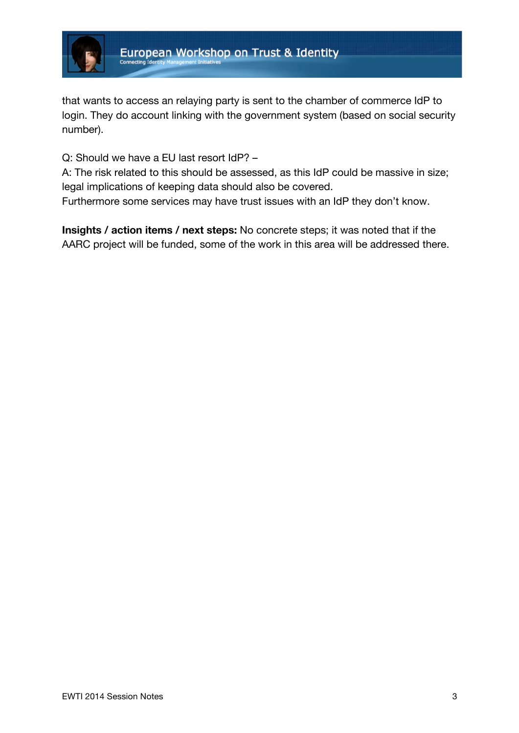

that wants to access an relaying party is sent to the chamber of commerce IdP to login. They do account linking with the government system (based on social security number).

Q: Should we have a EU last resort IdP? –

A: The risk related to this should be assessed, as this IdP could be massive in size; legal implications of keeping data should also be covered.

Furthermore some services may have trust issues with an IdP they don't know.

**Insights / action items / next steps:** No concrete steps; it was noted that if the AARC project will be funded, some of the work in this area will be addressed there.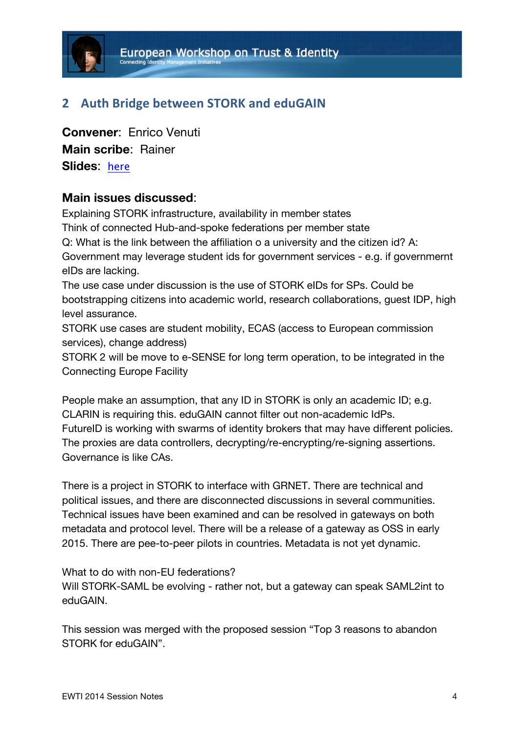

## **2 Auth Bridge between STORK and eduGAIN**

**Convener**: Enrico Venuti **Main scribe**: Rainer **Slides**: here

### **Main issues discussed**:

Explaining STORK infrastructure, availability in member states Think of connected Hub-and-spoke federations per member state Q: What is the link between the affiliation o a university and the citizen id? A: Government may leverage student ids for government services - e.g. if governmernt eIDs are lacking. The use case under discussion is the use of STORK eIDs for SPs. Could be bootstrapping citizens into academic world, research collaborations, guest IDP, high level assurance.

STORK use cases are student mobility, ECAS (access to European commission services), change address)

STORK 2 will be move to e-SENSE for long term operation, to be integrated in the Connecting Europe Facility

People make an assumption, that any ID in STORK is only an academic ID; e.g. CLARIN is requiring this. eduGAIN cannot filter out non-academic IdPs. FutureID is working with swarms of identity brokers that may have different policies. The proxies are data controllers, decrypting/re-encrypting/re-signing assertions. Governance is like CAs.

There is a project in STORK to interface with GRNET. There are technical and political issues, and there are disconnected discussions in several communities. Technical issues have been examined and can be resolved in gateways on both metadata and protocol level. There will be a release of a gateway as OSS in early 2015. There are pee-to-peer pilots in countries. Metadata is not yet dynamic.

What to do with non-FU federations?

Will STORK-SAML be evolving - rather not, but a gateway can speak SAML2int to eduGAIN.

This session was merged with the proposed session "Top 3 reasons to abandon STORK for eduGAIN".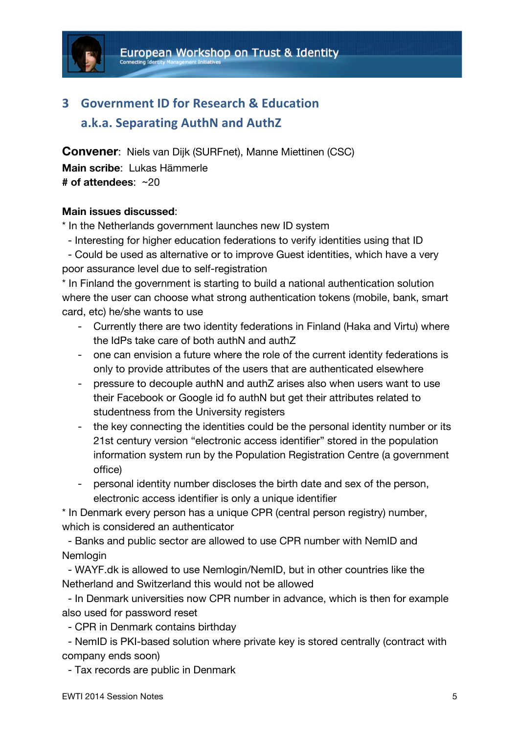

# **3 Government ID for Research & Education a.k.a. Separating AuthN and AuthZ**

**Convener**: Niels van Dijk (SURFnet), Manne Miettinen (CSC) **Main scribe**: Lukas Hämmerle **# of attendees**: ~20

### **Main issues discussed**:

\* In the Netherlands government launches new ID system

- Interesting for higher education federations to verify identities using that ID

 - Could be used as alternative or to improve Guest identities, which have a very poor assurance level due to self-registration

\* In Finland the government is starting to build a national authentication solution where the user can choose what strong authentication tokens (mobile, bank, smart card, etc) he/she wants to use

- Currently there are two identity federations in Finland (Haka and Virtu) where the IdPs take care of both authN and authZ
- one can envision a future where the role of the current identity federations is only to provide attributes of the users that are authenticated elsewhere
- pressure to decouple authN and authZ arises also when users want to use their Facebook or Google id fo authN but get their attributes related to studentness from the University registers
- the key connecting the identities could be the personal identity number or its 21st century version "electronic access identifier" stored in the population information system run by the Population Registration Centre (a government office)
- personal identity number discloses the birth date and sex of the person, electronic access identifier is only a unique identifier

\* In Denmark every person has a unique CPR (central person registry) number, which is considered an authenticator

 - Banks and public sector are allowed to use CPR number with NemID and Nemlogin

 - WAYF.dk is allowed to use Nemlogin/NemID, but in other countries like the Netherland and Switzerland this would not be allowed

 - In Denmark universities now CPR number in advance, which is then for example also used for password reset

- CPR in Denmark contains birthday

 - NemID is PKI-based solution where private key is stored centrally (contract with company ends soon)

- Tax records are public in Denmark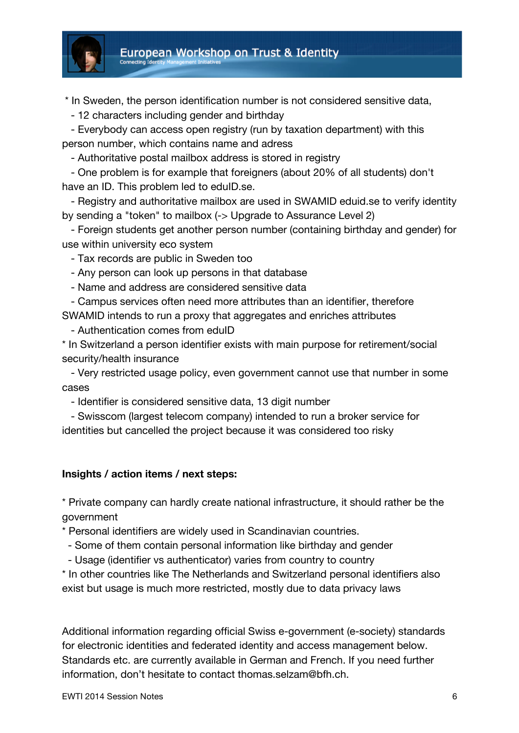

\* In Sweden, the person identification number is not considered sensitive data,

- 12 characters including gender and birthday

 - Everybody can access open registry (run by taxation department) with this person number, which contains name and adress

- Authoritative postal mailbox address is stored in registry

 - One problem is for example that foreigners (about 20% of all students) don't have an ID. This problem led to eduID.se.

 - Registry and authoritative mailbox are used in SWAMID eduid.se to verify identity by sending a "token" to mailbox (-> Upgrade to Assurance Level 2)

 - Foreign students get another person number (containing birthday and gender) for use within university eco system

- Tax records are public in Sweden too

- Any person can look up persons in that database

- Name and address are considered sensitive data

 - Campus services often need more attributes than an identifier, therefore SWAMID intends to run a proxy that aggregates and enriches attributes

- Authentication comes from eduID

\* In Switzerland a person identifier exists with main purpose for retirement/social security/health insurance

 - Very restricted usage policy, even government cannot use that number in some cases

- Identifier is considered sensitive data, 13 digit number

 - Swisscom (largest telecom company) intended to run a broker service for identities but cancelled the project because it was considered too risky

### **Insights / action items / next steps:**

\* Private company can hardly create national infrastructure, it should rather be the government

\* Personal identifiers are widely used in Scandinavian countries.

- Some of them contain personal information like birthday and gender

- Usage (identifier vs authenticator) varies from country to country

\* In other countries like The Netherlands and Switzerland personal identifiers also exist but usage is much more restricted, mostly due to data privacy laws

Additional information regarding official Swiss e-government (e-society) standards for electronic identities and federated identity and access management below. Standards etc. are currently available in German and French. If you need further information, don't hesitate to contact thomas.selzam@bfh.ch.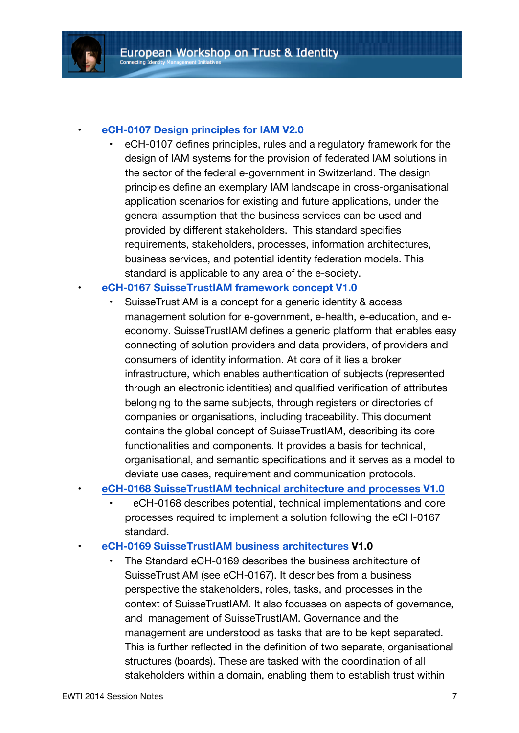

### • **eCH-0107 Design principles for IAM V2.0**

• eCH-0107 defines principles, rules and a regulatory framework for the design of IAM systems for the provision of federated IAM solutions in the sector of the federal e-government in Switzerland. The design principles define an exemplary IAM landscape in cross-organisational application scenarios for existing and future applications, under the general assumption that the business services can be used and provided by different stakeholders. This standard specifies requirements, stakeholders, processes, information architectures, business services, and potential identity federation models. This standard is applicable to any area of the e-society.

### • **eCH-0167 SuisseTrustIAM framework concept V1.0**

- SuisseTrustIAM is a concept for a generic identity & access management solution for e-government, e-health, e-education, and eeconomy. SuisseTrustIAM defines a generic platform that enables easy connecting of solution providers and data providers, of providers and consumers of identity information. At core of it lies a broker infrastructure, which enables authentication of subjects (represented through an electronic identities) and qualified verification of attributes belonging to the same subjects, through registers or directories of companies or organisations, including traceability. This document contains the global concept of SuisseTrustIAM, describing its core functionalities and components. It provides a basis for technical, organisational, and semantic specifications and it serves as a model to deviate use cases, requirement and communication protocols.
- **eCH-0168 SuisseTrustIAM technical architecture and processes V1.0**
	- eCH-0168 describes potential, technical implementations and core processes required to implement a solution following the eCH-0167 standard.
- **eCH-0169 SuisseTrustIAM business architectures V1.0**
	- The Standard eCH-0169 describes the business architecture of SuisseTrustIAM (see eCH-0167). It describes from a business perspective the stakeholders, roles, tasks, and processes in the context of SuisseTrustIAM. It also focusses on aspects of governance, and management of SuisseTrustIAM. Governance and the management are understood as tasks that are to be kept separated. This is further reflected in the definition of two separate, organisational structures (boards). These are tasked with the coordination of all stakeholders within a domain, enabling them to establish trust within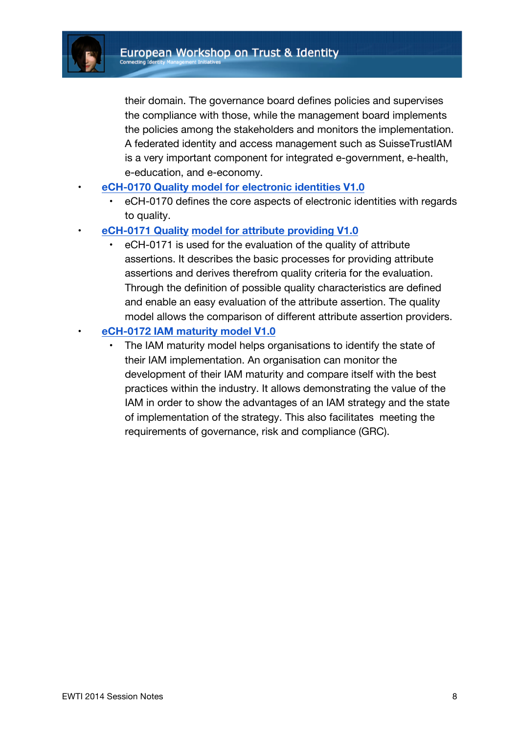

their domain. The governance board defines policies and supervises the compliance with those, while the management board implements the policies among the stakeholders and monitors the implementation. A federated identity and access management such as SuisseTrustIAM is a very important component for integrated e-government, e-health, e-education, and e-economy.

- **eCH-0170 Quality model for electronic identities V1.0**
	- eCH-0170 defines the core aspects of electronic identities with regards to quality.
- **eCH-0171 Quality model for attribute providing V1.0**
	- eCH-0171 is used for the evaluation of the quality of attribute assertions. It describes the basic processes for providing attribute assertions and derives therefrom quality criteria for the evaluation. Through the definition of possible quality characteristics are defined and enable an easy evaluation of the attribute assertion. The quality model allows the comparison of different attribute assertion providers.

### • **eCH-0172 IAM maturity model V1.0**

The IAM maturity model helps organisations to identify the state of their IAM implementation. An organisation can monitor the development of their IAM maturity and compare itself with the best practices within the industry. It allows demonstrating the value of the IAM in order to show the advantages of an IAM strategy and the state of implementation of the strategy. This also facilitates meeting the requirements of governance, risk and compliance (GRC).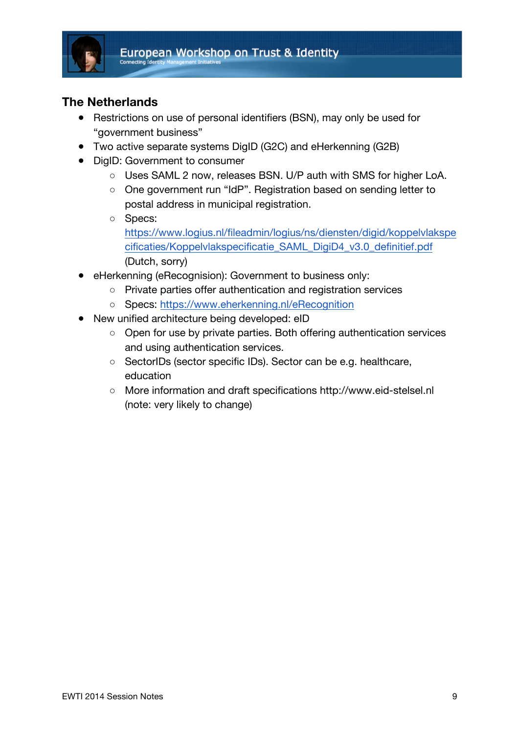

## **The Netherlands**

- Restrictions on use of personal identifiers (BSN), may only be used for "government business"
- Two active separate systems DigID (G2C) and eHerkenning (G2B)
- DigID: Government to consumer
	- Uses SAML 2 now, releases BSN. U/P auth with SMS for higher LoA.
	- One government run "IdP". Registration based on sending letter to postal address in municipal registration.
	- Specs: https://www.logius.nl/fileadmin/logius/ns/diensten/digid/koppelvlakspe cificaties/Koppelvlakspecificatie\_SAML\_DigiD4\_v3.0\_definitief.pdf (Dutch, sorry)
- eHerkenning (eRecognision): Government to business only:
	- Private parties offer authentication and registration services
	- Specs: https://www.eherkenning.nl/eRecognition
- New unified architecture being developed: eID
	- Open for use by private parties. Both offering authentication services and using authentication services.
	- SectorIDs (sector specific IDs). Sector can be e.g. healthcare, education
	- More information and draft specifications http://www.eid-stelsel.nl (note: very likely to change)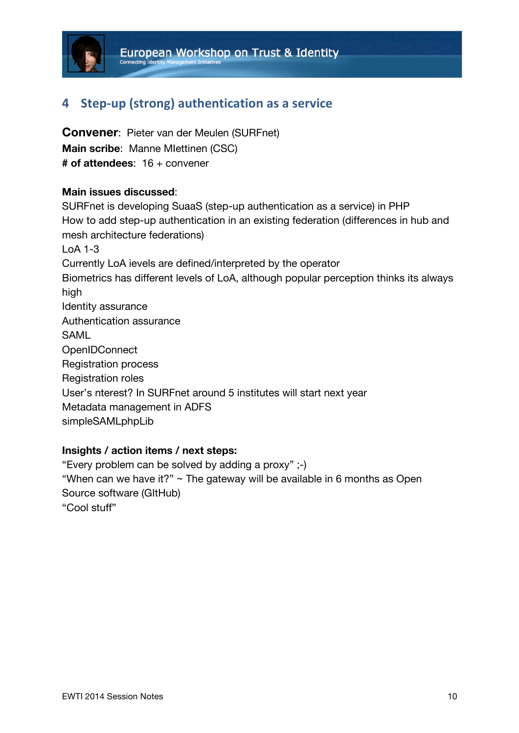

## **4 Step-up (strong) authentication as a service**

**Convener**: Pieter van der Meulen (SURFnet) **Main scribe**: Manne MIettinen (CSC) **# of attendees**: 16 + convener

### **Main issues discussed**:

SURFnet is developing SuaaS (step-up authentication as a service) in PHP How to add step-up authentication in an existing federation (differences in hub and mesh architecture federations) LoA 1-3 Currently LoA ievels are defined/interpreted by the operator Biometrics has different levels of LoA, although popular perception thinks its always high Identity assurance Authentication assurance SAML **OpenIDConnect** Registration process Registration roles User's nterest? In SURFnet around 5 institutes will start next year Metadata management in ADFS simpleSAMLphpLib

### **Insights / action items / next steps:**

"Every problem can be solved by adding a proxy" ;-) "When can we have it?"  $\sim$  The gateway will be available in 6 months as Open Source software (GItHub) "Cool stuff"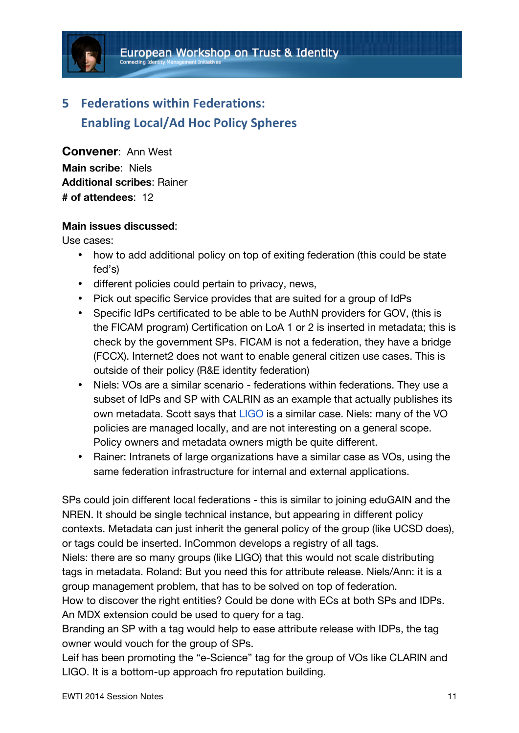

# **5 Federations within Federations: Enabling Local/Ad Hoc Policy Spheres**

**Convener**: Ann West **Main scribe**: Niels **Additional scribes**: Rainer **# of attendees**: 12

### **Main issues discussed**:

Use cases:

- how to add additional policy on top of exiting federation (this could be state fed's)
- different policies could pertain to privacy, news,
- Pick out specific Service provides that are suited for a group of IdPs
- Specific IdPs certificated to be able to be AuthN providers for GOV, (this is the FICAM program) Certification on LoA 1 or 2 is inserted in metadata; this is check by the government SPs. FICAM is not a federation, they have a bridge (FCCX). Internet2 does not want to enable general citizen use cases. This is outside of their policy (R&E identity federation)
- Niels: VOs are a similar scenario federations within federations. They use a subset of IdPs and SP with CALRIN as an example that actually publishes its own metadata. Scott says that LIGO is a similar case. Niels: many of the VO policies are managed locally, and are not interesting on a general scope. Policy owners and metadata owners migth be quite different.
- Rainer: Intranets of large organizations have a similar case as VOs, using the same federation infrastructure for internal and external applications.

SPs could join different local federations - this is similar to joining eduGAIN and the NREN. It should be single technical instance, but appearing in different policy contexts. Metadata can just inherit the general policy of the group (like UCSD does), or tags could be inserted. InCommon develops a registry of all tags.

Niels: there are so many groups (like LIGO) that this would not scale distributing tags in metadata. Roland: But you need this for attribute release. Niels/Ann: it is a group management problem, that has to be solved on top of federation.

How to discover the right entities? Could be done with ECs at both SPs and IDPs. An MDX extension could be used to query for a tag.

Branding an SP with a tag would help to ease attribute release with IDPs, the tag owner would vouch for the group of SPs.

Leif has been promoting the "e-Science" tag for the group of VOs like CLARIN and LIGO. It is a bottom-up approach fro reputation building.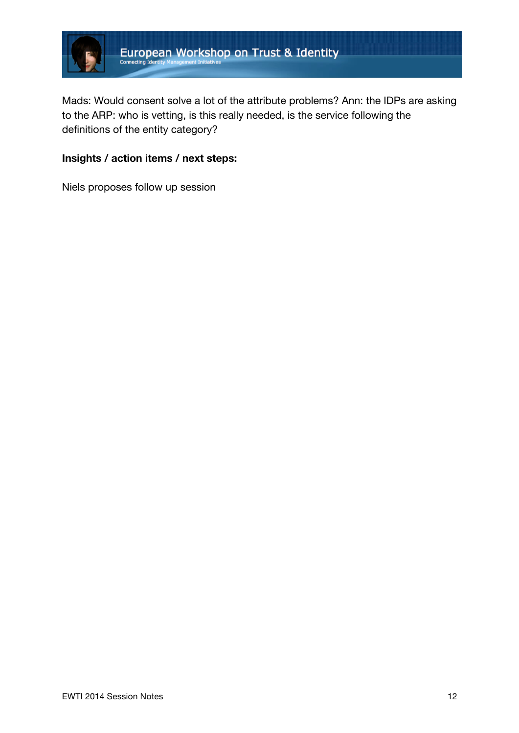

Mads: Would consent solve a lot of the attribute problems? Ann: the IDPs are asking to the ARP: who is vetting, is this really needed, is the service following the definitions of the entity category?

## **Insights / action items / next steps:**

Niels proposes follow up session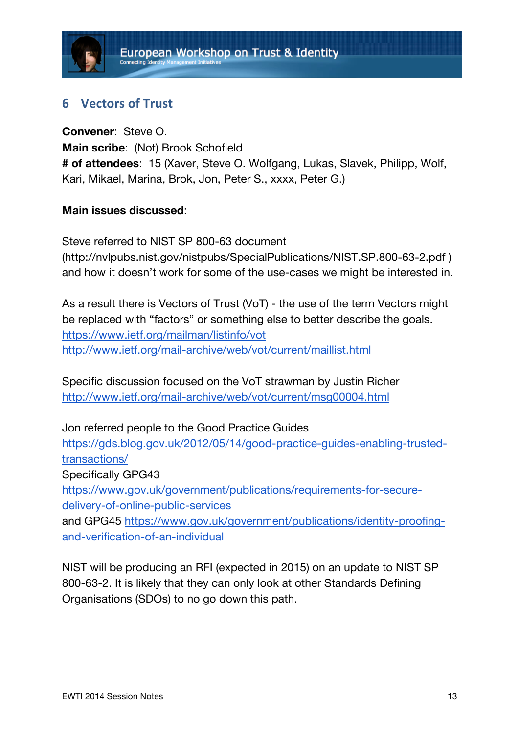## **6 Vectors of Trust**

**Convener**: Steve O. **Main scribe**: (Not) Brook Schofield **# of attendees**: 15 (Xaver, Steve O. Wolfgang, Lukas, Slavek, Philipp, Wolf, Kari, Mikael, Marina, Brok, Jon, Peter S., xxxx, Peter G.)

## **Main issues discussed**:

Steve referred to NIST SP 800-63 document (http://nvlpubs.nist.gov/nistpubs/SpecialPublications/NIST.SP.800-63-2.pdf ) and how it doesn't work for some of the use-cases we might be interested in.

As a result there is Vectors of Trust (VoT) - the use of the term Vectors might be replaced with "factors" or something else to better describe the goals. https://www.ietf.org/mailman/listinfo/vot http://www.ietf.org/mail-archive/web/vot/current/maillist.html

Specific discussion focused on the VoT strawman by Justin Richer http://www.ietf.org/mail-archive/web/vot/current/msg00004.html

Jon referred people to the Good Practice Guides

https://gds.blog.gov.uk/2012/05/14/good-practice-guides-enabling-trustedtransactions/

Specifically GPG43

https://www.gov.uk/government/publications/requirements-for-securedelivery-of-online-public-services

and GPG45 https://www.gov.uk/government/publications/identity-proofingand-verification-of-an-individual

NIST will be producing an RFI (expected in 2015) on an update to NIST SP 800-63-2. It is likely that they can only look at other Standards Defining Organisations (SDOs) to no go down this path.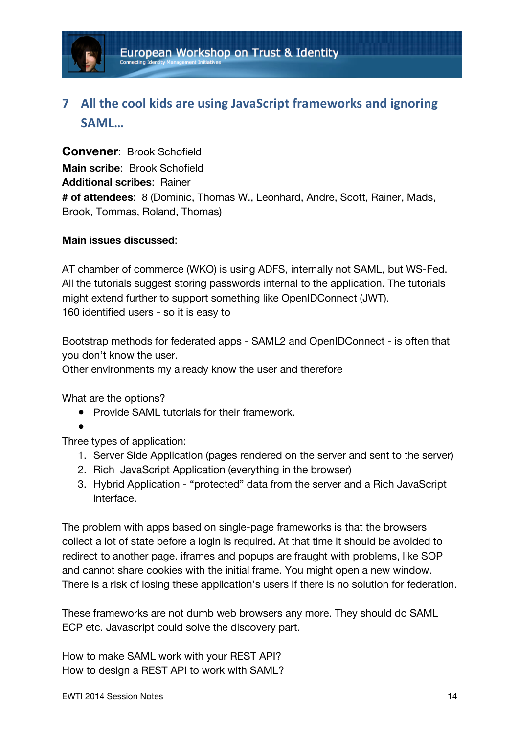

# **7** All the cool kids are using JavaScript frameworks and ignoring **SAML…**

**Convener**: Brook Schofield **Main scribe**: Brook Schofield **Additional scribes**: Rainer **# of attendees**: 8 (Dominic, Thomas W., Leonhard, Andre, Scott, Rainer, Mads, Brook, Tommas, Roland, Thomas)

### **Main issues discussed**:

AT chamber of commerce (WKO) is using ADFS, internally not SAML, but WS-Fed. All the tutorials suggest storing passwords internal to the application. The tutorials might extend further to support something like OpenIDConnect (JWT). 160 identified users - so it is easy to

Bootstrap methods for federated apps - SAML2 and OpenIDConnect - is often that you don't know the user.

Other environments my already know the user and therefore

What are the options?

- Provide SAML tutorials for their framework.
- ●

Three types of application:

- 1. Server Side Application (pages rendered on the server and sent to the server)
- 2. Rich JavaScript Application (everything in the browser)
- 3. Hybrid Application "protected" data from the server and a Rich JavaScript interface.

The problem with apps based on single-page frameworks is that the browsers collect a lot of state before a login is required. At that time it should be avoided to redirect to another page. iframes and popups are fraught with problems, like SOP and cannot share cookies with the initial frame. You might open a new window. There is a risk of losing these application's users if there is no solution for federation.

These frameworks are not dumb web browsers any more. They should do SAML ECP etc. Javascript could solve the discovery part.

How to make SAML work with your REST API? How to design a REST API to work with SAML?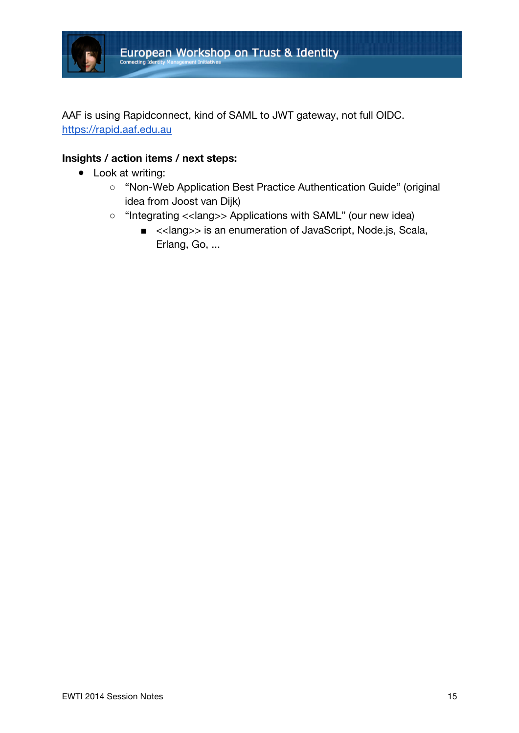

AAF is using Rapidconnect, kind of SAML to JWT gateway, not full OIDC. https://rapid.aaf.edu.au

### **Insights / action items / next steps:**

- Look at writing:
	- "Non-Web Application Best Practice Authentication Guide" (original idea from Joost van Dijk)
	- "Integrating <<lang>> Applications with SAML" (our new idea)
		- <<lang>> is an enumeration of JavaScript, Node.js, Scala, Erlang, Go, ...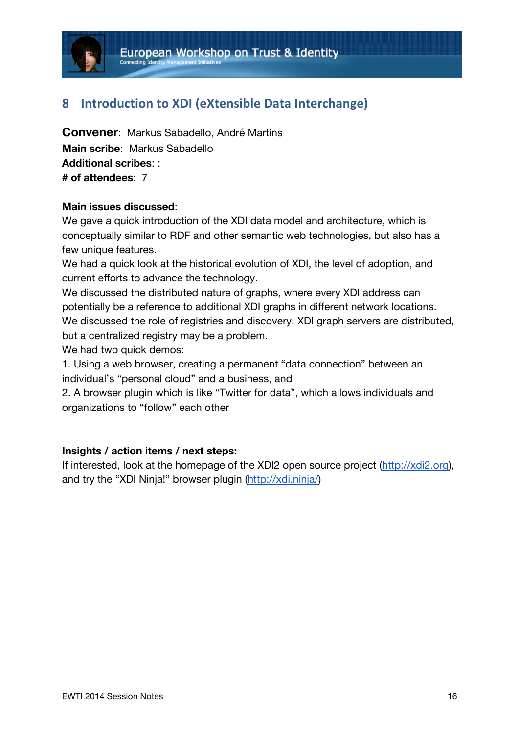

## **8** Introduction to XDI (eXtensible Data Interchange)

**Convener**: Markus Sabadello, André Martins **Main scribe**: Markus Sabadello **Additional scribes**: : **# of attendees**: 7

### **Main issues discussed**:

We gave a quick introduction of the XDI data model and architecture, which is conceptually similar to RDF and other semantic web technologies, but also has a few unique features.

We had a quick look at the historical evolution of XDI, the level of adoption, and current efforts to advance the technology.

We discussed the distributed nature of graphs, where every XDI address can potentially be a reference to additional XDI graphs in different network locations. We discussed the role of registries and discovery. XDI graph servers are distributed, but a centralized registry may be a problem.

We had two quick demos:

1. Using a web browser, creating a permanent "data connection" between an individual's "personal cloud" and a business, and

2. A browser plugin which is like "Twitter for data", which allows individuals and organizations to "follow" each other

### **Insights / action items / next steps:**

If interested, look at the homepage of the XDI2 open source project (http://xdi2.org), and try the "XDI Ninja!" browser plugin (http://xdi.ninja/)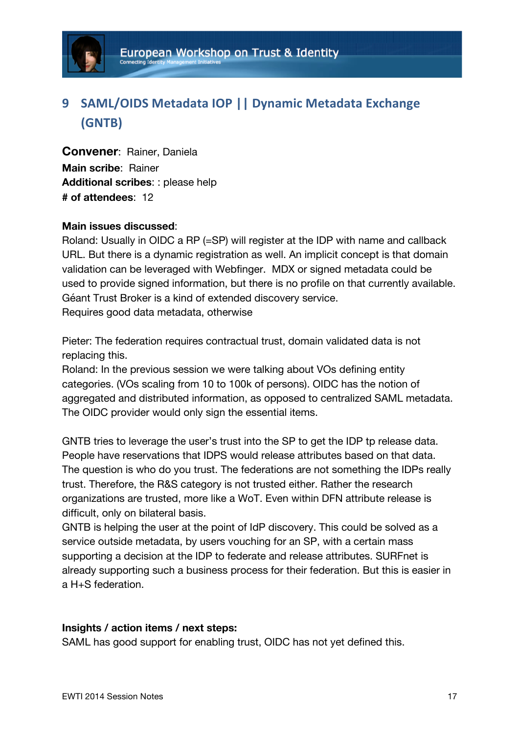

# **9** SAML/OIDS Metadata IOP | Dynamic Metadata Exchange **(GNTB)**

**Convener**: Rainer, Daniela **Main scribe**: Rainer **Additional scribes**: : please help **# of attendees**: 12

### **Main issues discussed**:

Roland: Usually in OIDC a RP (=SP) will register at the IDP with name and callback URL. But there is a dynamic registration as well. An implicit concept is that domain validation can be leveraged with Webfinger. MDX or signed metadata could be used to provide signed information, but there is no profile on that currently available. Géant Trust Broker is a kind of extended discovery service. Requires good data metadata, otherwise

Pieter: The federation requires contractual trust, domain validated data is not replacing this.

Roland: In the previous session we were talking about VOs defining entity categories. (VOs scaling from 10 to 100k of persons). OIDC has the notion of aggregated and distributed information, as opposed to centralized SAML metadata. The OIDC provider would only sign the essential items.

GNTB tries to leverage the user's trust into the SP to get the IDP tp release data. People have reservations that IDPS would release attributes based on that data. The question is who do you trust. The federations are not something the IDPs really trust. Therefore, the R&S category is not trusted either. Rather the research organizations are trusted, more like a WoT. Even within DFN attribute release is difficult, only on bilateral basis.

GNTB is helping the user at the point of IdP discovery. This could be solved as a service outside metadata, by users vouching for an SP, with a certain mass supporting a decision at the IDP to federate and release attributes. SURFnet is already supporting such a business process for their federation. But this is easier in a H+S federation.

### **Insights / action items / next steps:**

SAML has good support for enabling trust, OIDC has not yet defined this.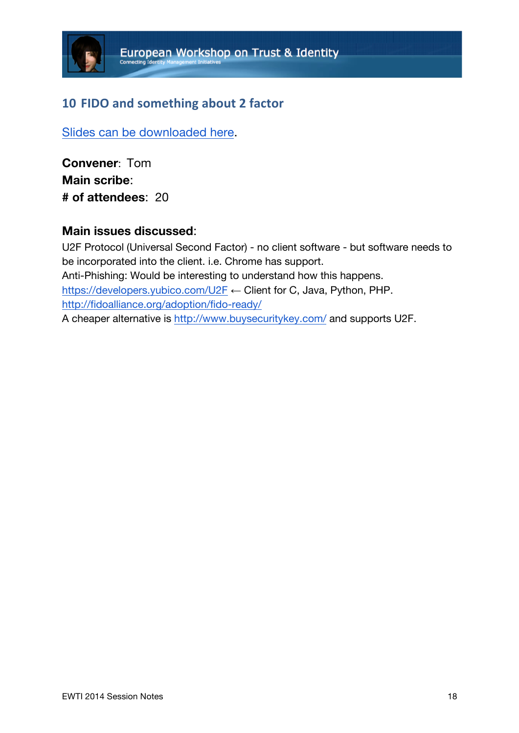# **10 FIDO and something about 2 factor**

Slides can be downloaded here.

**Convener**: Tom **Main scribe**: **# of attendees**: 20

## **Main issues discussed**:

U2F Protocol (Universal Second Factor) - no client software - but software needs to be incorporated into the client. i.e. Chrome has support. Anti-Phishing: Would be interesting to understand how this happens. https://developers.yubico.com/U2F ← Client for C, Java, Python, PHP. http://fidoalliance.org/adoption/fido-ready/ A cheaper alternative is http://www.buysecuritykey.com/ and supports U2F.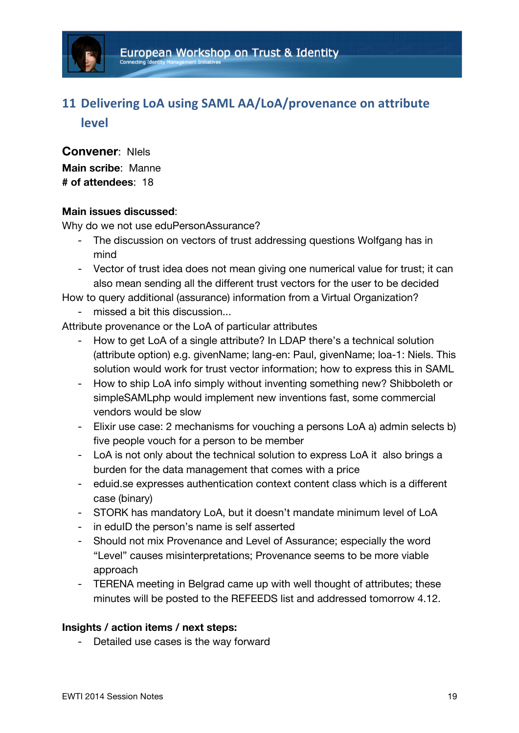# **11 Delivering LoA using SAML AA/LoA/provenance on attribute level**

**Convener**: NIels **Main scribe**: Manne **# of attendees**: 18

### **Main issues discussed**:

Why do we not use eduPersonAssurance?

- The discussion on vectors of trust addressing questions Wolfgang has in mind
- Vector of trust idea does not mean giving one numerical value for trust; it can also mean sending all the different trust vectors for the user to be decided

How to query additional (assurance) information from a Virtual Organization?

- missed a bit this discussion...

Attribute provenance or the LoA of particular attributes

- How to get LoA of a single attribute? In LDAP there's a technical solution (attribute option) e.g. givenName; lang-en: Paul, givenName; loa-1: Niels. This solution would work for trust vector information; how to express this in SAML
- How to ship LoA info simply without inventing something new? Shibboleth or simpleSAMLphp would implement new inventions fast, some commercial vendors would be slow
- Elixir use case: 2 mechanisms for vouching a persons LoA a) admin selects b) five people vouch for a person to be member
- LoA is not only about the technical solution to express LoA it also brings a burden for the data management that comes with a price
- eduid.se expresses authentication context content class which is a different case (binary)
- STORK has mandatory LoA, but it doesn't mandate minimum level of LoA
- in eduID the person's name is self asserted
- Should not mix Provenance and Level of Assurance; especially the word "Level" causes misinterpretations; Provenance seems to be more viable approach
- TERENA meeting in Belgrad came up with well thought of attributes; these minutes will be posted to the REFEEDS list and addressed tomorrow 4.12.

### **Insights / action items / next steps:**

- Detailed use cases is the way forward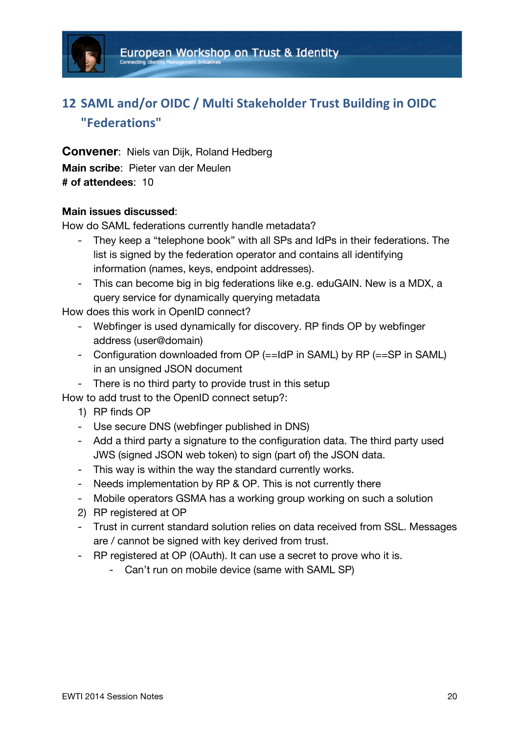

# 12 **SAML** and/or OIDC / Multi Stakeholder Trust Building in OIDC **"Federations"**

**Convener**: Niels van Dijk, Roland Hedberg **Main scribe**: Pieter van der Meulen **# of attendees**: 10

### **Main issues discussed**:

How do SAML federations currently handle metadata?

- They keep a "telephone book" with all SPs and IdPs in their federations. The list is signed by the federation operator and contains all identifying information (names, keys, endpoint addresses).
- This can become big in big federations like e.g. eduGAIN. New is a MDX, a query service for dynamically querying metadata

How does this work in OpenID connect?

- Webfinger is used dynamically for discovery. RP finds OP by webfinger address (user@domain)
- Configuration downloaded from OP (==IdP in SAML) by RP (==SP in SAML) in an unsigned JSON document
- There is no third party to provide trust in this setup

How to add trust to the OpenID connect setup?:

- 1) RP finds OP
- Use secure DNS (webfinger published in DNS)
- Add a third party a signature to the configuration data. The third party used JWS (signed JSON web token) to sign (part of) the JSON data.
- This way is within the way the standard currently works.
- Needs implementation by RP & OP. This is not currently there
- Mobile operators GSMA has a working group working on such a solution
- 2) RP registered at OP
- Trust in current standard solution relies on data received from SSL. Messages are / cannot be signed with key derived from trust.
- RP registered at OP (OAuth). It can use a secret to prove who it is.
	- Can't run on mobile device (same with SAML SP)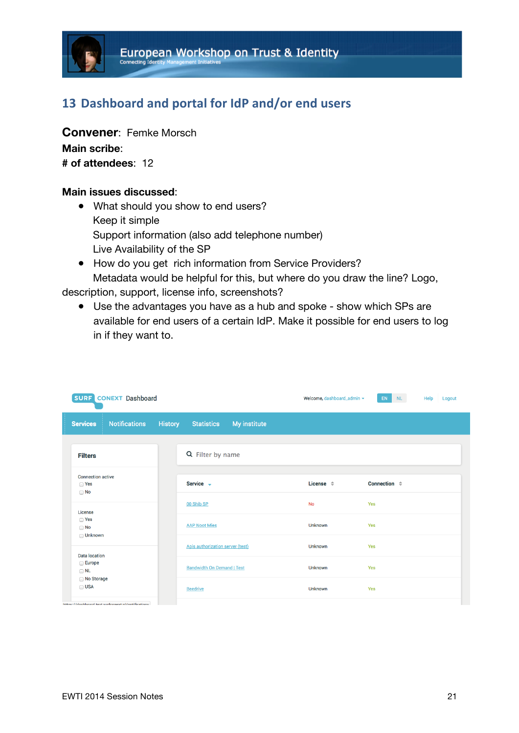# 13 Dashboard and portal for IdP and/or end users

**Convener**: Femke Morsch **Main scribe**: **# of attendees**: 12

#### **Main issues discussed**:

- What should you show to end users? Keep it simple Support information (also add telephone number) Live Availability of the SP
- How do you get rich information from Service Providers? Metadata would be helpful for this, but where do you draw the line? Logo,

description, support, license info, screenshots?

● Use the advantages you have as a hub and spoke - show which SPs are available for end users of a certain IdP. Make it possible for end users to log in if they want to.

|                                                                 | <b>SURF CONEXT Dashboard</b>                       |                |                                   |              | Welcome, dashboard_admin = | <b>EN</b>                    | NL - | Help<br>Logout |
|-----------------------------------------------------------------|----------------------------------------------------|----------------|-----------------------------------|--------------|----------------------------|------------------------------|------|----------------|
| <b>Services</b>                                                 | <b>Notifications</b>                               | <b>History</b> | <b>Statistics</b>                 | My institute |                            |                              |      |                |
| <b>Filters</b>                                                  |                                                    |                | Q Filter by name                  |              |                            |                              |      |                |
| <b>Connection active</b><br>□ Yes<br>$\Box$ No                  |                                                    |                | Service -                         |              | License $\Leftrightarrow$  | Connection $\Leftrightarrow$ |      |                |
| License                                                         |                                                    |                | 00 Shib SP                        |              | <b>No</b>                  | Yes                          |      |                |
| □ Yes<br>$\Box$ No                                              |                                                    |                | <b>AAP Noot Mies</b>              |              | <b>Unknown</b>             | Yes                          |      |                |
| <b>□ Unknown</b><br><b>Data location</b><br>Europe<br>$\Box$ NL |                                                    |                | Apis authorization server (test)  |              | Unknown                    | Yes                          |      |                |
|                                                                 |                                                    |                | <b>Bandwidth On Demand   Test</b> |              | <b>Unknown</b>             | Yes                          |      |                |
| No Storage<br>$\Box$ USA                                        |                                                    |                | <b>Beedrive</b>                   |              | <b>Unknown</b>             | Yes                          |      |                |
|                                                                 | https://dashboard.test.surfconext.pl/notifications |                |                                   |              |                            |                              |      |                |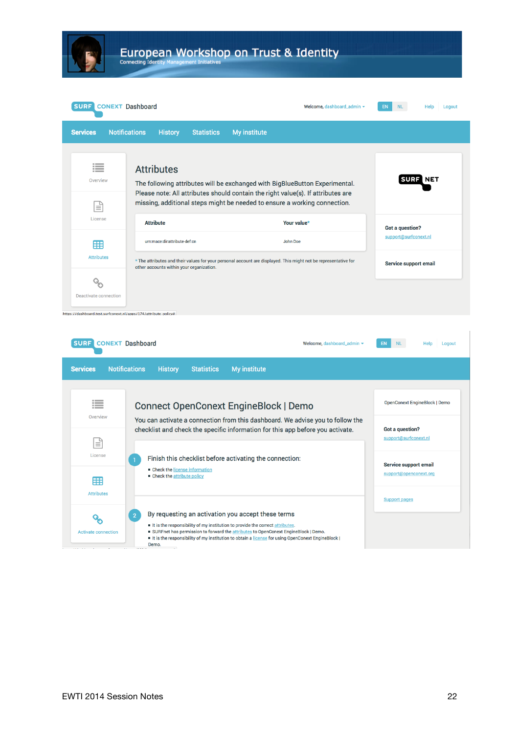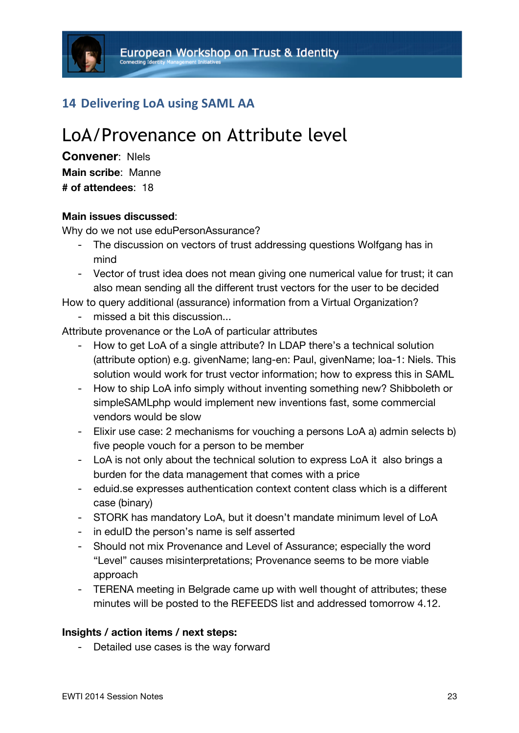## **14 Delivering LoA using SAML AA**

# LoA/Provenance on Attribute level

**Convener**: NIels **Main scribe**: Manne **# of attendees**: 18

#### **Main issues discussed**:

Why do we not use eduPersonAssurance?

- The discussion on vectors of trust addressing questions Wolfgang has in mind
- Vector of trust idea does not mean giving one numerical value for trust; it can also mean sending all the different trust vectors for the user to be decided

How to query additional (assurance) information from a Virtual Organization? - missed a bit this discussion...

Attribute provenance or the LoA of particular attributes

- How to get LoA of a single attribute? In LDAP there's a technical solution (attribute option) e.g. givenName; lang-en: Paul, givenName; loa-1: Niels. This solution would work for trust vector information; how to express this in SAML
- How to ship LoA info simply without inventing something new? Shibboleth or simpleSAMLphp would implement new inventions fast, some commercial vendors would be slow
- Elixir use case: 2 mechanisms for vouching a persons LoA a) admin selects b) five people vouch for a person to be member
- LoA is not only about the technical solution to express LoA it also brings a burden for the data management that comes with a price
- eduid.se expresses authentication context content class which is a different case (binary)
- STORK has mandatory LoA, but it doesn't mandate minimum level of LoA
- in eduID the person's name is self asserted
- Should not mix Provenance and Level of Assurance; especially the word "Level" causes misinterpretations; Provenance seems to be more viable approach
- TERENA meeting in Belgrade came up with well thought of attributes; these minutes will be posted to the REFEEDS list and addressed tomorrow 4.12.

#### **Insights / action items / next steps:**

- Detailed use cases is the way forward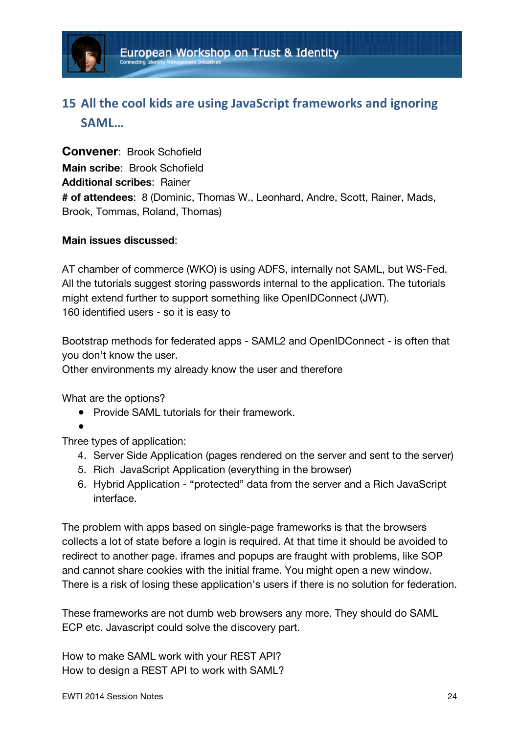

# **15 All the cool kids are using JavaScript frameworks and ignoring SAML…**

**Convener**: Brook Schofield **Main scribe**: Brook Schofield **Additional scribes**: Rainer **# of attendees**: 8 (Dominic, Thomas W., Leonhard, Andre, Scott, Rainer, Mads, Brook, Tommas, Roland, Thomas)

### **Main issues discussed**:

AT chamber of commerce (WKO) is using ADFS, internally not SAML, but WS-Fed. All the tutorials suggest storing passwords internal to the application. The tutorials might extend further to support something like OpenIDConnect (JWT). 160 identified users - so it is easy to

Bootstrap methods for federated apps - SAML2 and OpenIDConnect - is often that you don't know the user.

Other environments my already know the user and therefore

What are the options?

- Provide SAML tutorials for their framework.
- ●

Three types of application:

- 4. Server Side Application (pages rendered on the server and sent to the server)
- 5. Rich JavaScript Application (everything in the browser)
- 6. Hybrid Application "protected" data from the server and a Rich JavaScript interface.

The problem with apps based on single-page frameworks is that the browsers collects a lot of state before a login is required. At that time it should be avoided to redirect to another page. iframes and popups are fraught with problems, like SOP and cannot share cookies with the initial frame. You might open a new window. There is a risk of losing these application's users if there is no solution for federation.

These frameworks are not dumb web browsers any more. They should do SAML ECP etc. Javascript could solve the discovery part.

How to make SAML work with your REST API? How to design a REST API to work with SAML?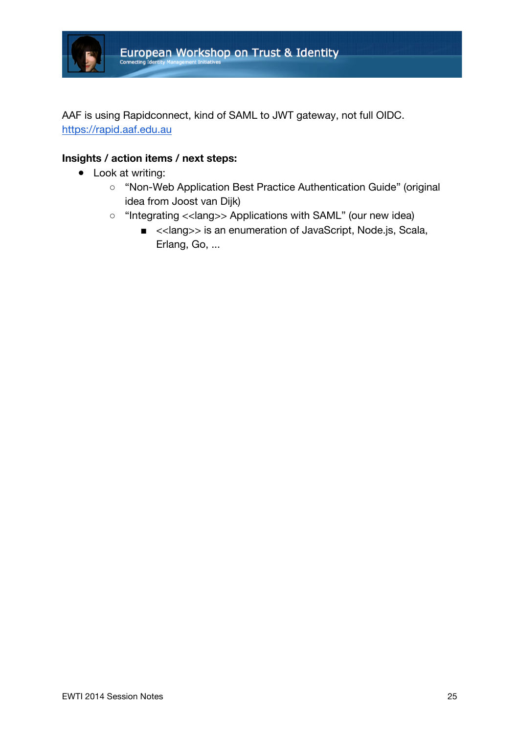

AAF is using Rapidconnect, kind of SAML to JWT gateway, not full OIDC. https://rapid.aaf.edu.au

### **Insights / action items / next steps:**

- Look at writing:
	- "Non-Web Application Best Practice Authentication Guide" (original idea from Joost van Dijk)
	- "Integrating <<lang>> Applications with SAML" (our new idea)
		- <<lang>> is an enumeration of JavaScript, Node.js, Scala, Erlang, Go, ...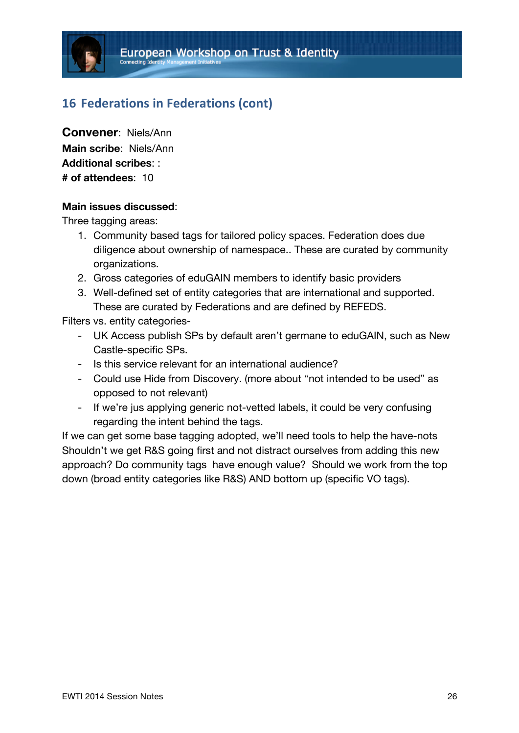## **16** Federations in Federations (cont)

**Convener**: Niels/Ann **Main scribe**: Niels/Ann **Additional scribes**: : **# of attendees**: 10

#### **Main issues discussed**:

Three tagging areas:

- 1. Community based tags for tailored policy spaces. Federation does due diligence about ownership of namespace.. These are curated by community organizations.
- 2. Gross categories of eduGAIN members to identify basic providers
- 3. Well-defined set of entity categories that are international and supported. These are curated by Federations and are defined by REFEDS.

Filters vs. entity categories-

- UK Access publish SPs by default aren't germane to eduGAIN, such as New Castle-specific SPs.
- Is this service relevant for an international audience?
- Could use Hide from Discovery. (more about "not intended to be used" as opposed to not relevant)
- If we're jus applying generic not-vetted labels, it could be very confusing regarding the intent behind the tags.

If we can get some base tagging adopted, we'll need tools to help the have-nots Shouldn't we get R&S going first and not distract ourselves from adding this new approach? Do community tags have enough value? Should we work from the top down (broad entity categories like R&S) AND bottom up (specific VO tags).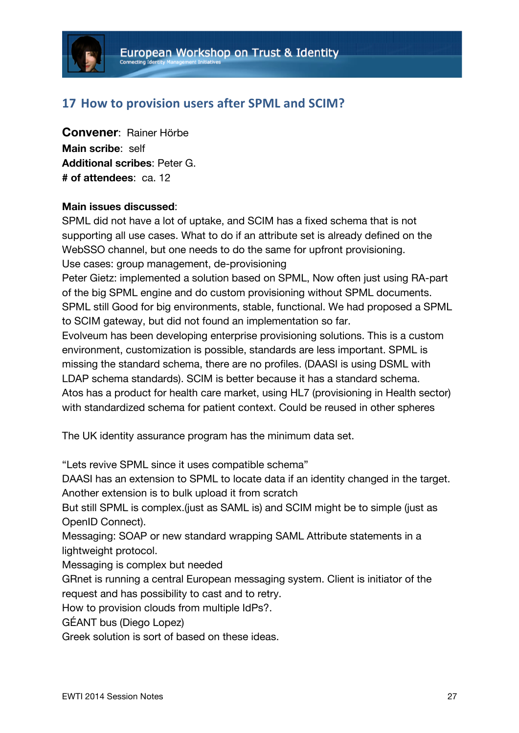## **17 How to provision users after SPML and SCIM?**

**Convener**: Rainer Hörbe **Main scribe**: self **Additional scribes**: Peter G. **# of attendees**: ca. 12

### **Main issues discussed**:

SPML did not have a lot of uptake, and SCIM has a fixed schema that is not supporting all use cases. What to do if an attribute set is already defined on the WebSSO channel, but one needs to do the same for upfront provisioning. Use cases: group management, de-provisioning

Peter Gietz: implemented a solution based on SPML, Now often just using RA-part of the big SPML engine and do custom provisioning without SPML documents. SPML still Good for big environments, stable, functional. We had proposed a SPML to SCIM gateway, but did not found an implementation so far.

Evolveum has been developing enterprise provisioning solutions. This is a custom environment, customization is possible, standards are less important. SPML is missing the standard schema, there are no profiles. (DAASI is using DSML with LDAP schema standards). SCIM is better because it has a standard schema. Atos has a product for health care market, using HL7 (provisioning in Health sector) with standardized schema for patient context. Could be reused in other spheres

The UK identity assurance program has the minimum data set.

"Lets revive SPML since it uses compatible schema"

DAASI has an extension to SPML to locate data if an identity changed in the target. Another extension is to bulk upload it from scratch

But still SPML is complex.(just as SAML is) and SCIM might be to simple (just as OpenID Connect).

Messaging: SOAP or new standard wrapping SAML Attribute statements in a lightweight protocol.

Messaging is complex but needed

GRnet is running a central European messaging system. Client is initiator of the request and has possibility to cast and to retry.

How to provision clouds from multiple IdPs?.

GÉANT bus (Diego Lopez)

Greek solution is sort of based on these ideas.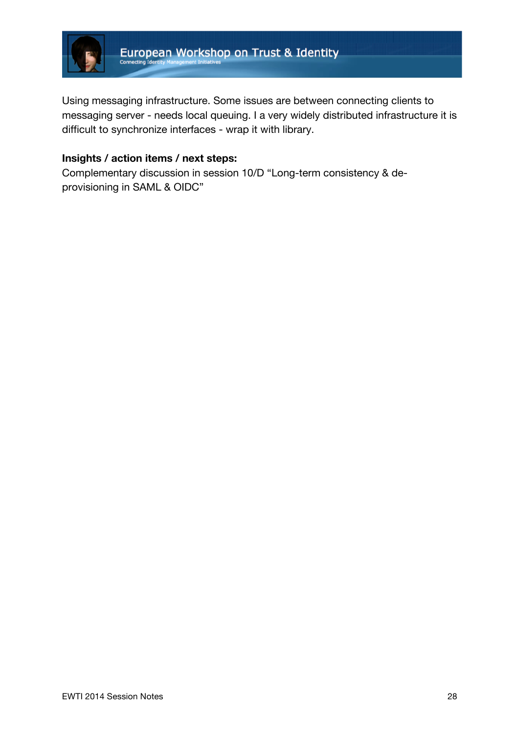

Using messaging infrastructure. Some issues are between connecting clients to messaging server - needs local queuing. I a very widely distributed infrastructure it is difficult to synchronize interfaces - wrap it with library.

## **Insights / action items / next steps:**

Complementary discussion in session 10/D "Long-term consistency & deprovisioning in SAML & OIDC"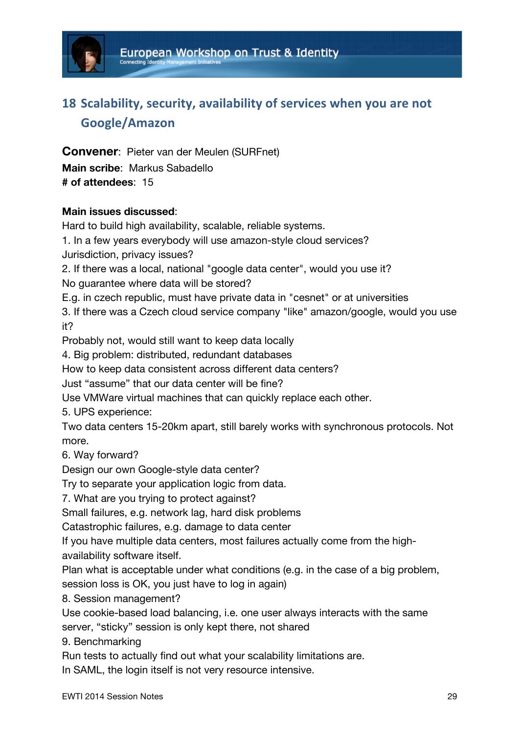

# 18 Scalability, security, availability of services when you are not **Google/Amazon**

**Convener**: Pieter van der Meulen (SURFnet) **Main scribe**: Markus Sabadello **# of attendees**: 15

### **Main issues discussed**:

Hard to build high availability, scalable, reliable systems.

1. In a few years everybody will use amazon-style cloud services?

Jurisdiction, privacy issues?

2. If there was a local, national "google data center", would you use it?

No guarantee where data will be stored?

E.g. in czech republic, must have private data in "cesnet" or at universities

3. If there was a Czech cloud service company "like" amazon/google, would you use it?

Probably not, would still want to keep data locally

4. Big problem: distributed, redundant databases

How to keep data consistent across different data centers?

Just "assume" that our data center will be fine?

Use VMWare virtual machines that can quickly replace each other.

5. UPS experience:

Two data centers 15-20km apart, still barely works with synchronous protocols. Not more.

6. Way forward?

Design our own Google-style data center?

Try to separate your application logic from data.

7. What are you trying to protect against?

Small failures, e.g. network lag, hard disk problems

Catastrophic failures, e.g. damage to data center

If you have multiple data centers, most failures actually come from the highavailability software itself.

Plan what is acceptable under what conditions (e.g. in the case of a big problem, session loss is OK, you just have to log in again)

8. Session management?

Use cookie-based load balancing, i.e. one user always interacts with the same server, "sticky" session is only kept there, not shared

9. Benchmarking

Run tests to actually find out what your scalability limitations are.

In SAML, the login itself is not very resource intensive.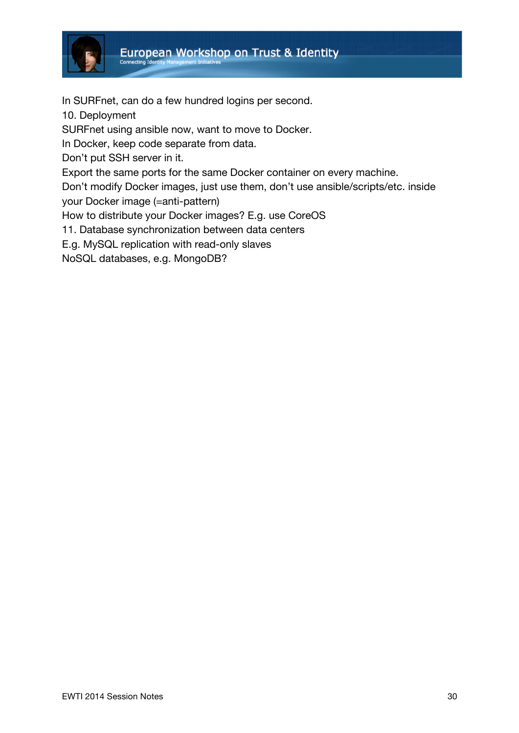

In SURFnet, can do a few hundred logins per second.

10. Deployment

SURFnet using ansible now, want to move to Docker.

In Docker, keep code separate from data.

Don't put SSH server in it.

Export the same ports for the same Docker container on every machine.

Don't modify Docker images, just use them, don't use ansible/scripts/etc. inside

your Docker image (=anti-pattern)

How to distribute your Docker images? E.g. use CoreOS

11. Database synchronization between data centers

E.g. MySQL replication with read-only slaves

NoSQL databases, e.g. MongoDB?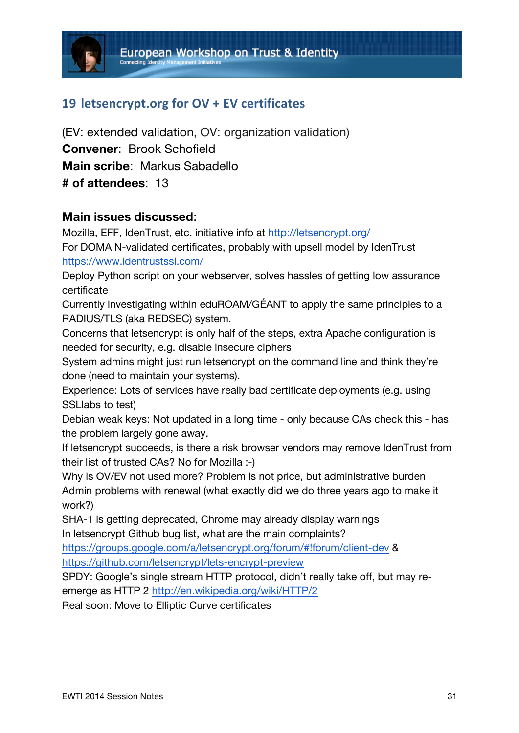# 19 letsencrypt.org for OV + EV certificates

(EV: extended validation, OV: organization validation) **Convener**: Brook Schofield **Main scribe**: Markus Sabadello **# of attendees**: 13

### **Main issues discussed**:

Mozilla, EFF, IdenTrust, etc. initiative info at http://letsencrypt.org/

For DOMAIN-validated certificates, probably with upsell model by IdenTrust https://www.identrustssl.com/

Deploy Python script on your webserver, solves hassles of getting low assurance certificate

Currently investigating within eduROAM/GÉANT to apply the same principles to a RADIUS/TLS (aka REDSEC) system.

Concerns that letsencrypt is only half of the steps, extra Apache configuration is needed for security, e.g. disable insecure ciphers

System admins might just run letsencrypt on the command line and think they're done (need to maintain your systems).

Experience: Lots of services have really bad certificate deployments (e.g. using SSLlabs to test)

Debian weak keys: Not updated in a long time - only because CAs check this - has the problem largely gone away.

If letsencrypt succeeds, is there a risk browser vendors may remove IdenTrust from their list of trusted CAs? No for Mozilla :-)

Why is OV/EV not used more? Problem is not price, but administrative burden Admin problems with renewal (what exactly did we do three years ago to make it work?)

SHA-1 is getting deprecated, Chrome may already display warnings In letsencrypt Github bug list, what are the main complaints?

https://groups.google.com/a/letsencrypt.org/forum/#!forum/client-dev & https://github.com/letsencrypt/lets-encrypt-preview

SPDY: Google's single stream HTTP protocol, didn't really take off, but may reemerge as HTTP 2 http://en.wikipedia.org/wiki/HTTP/2

Real soon: Move to Elliptic Curve certificates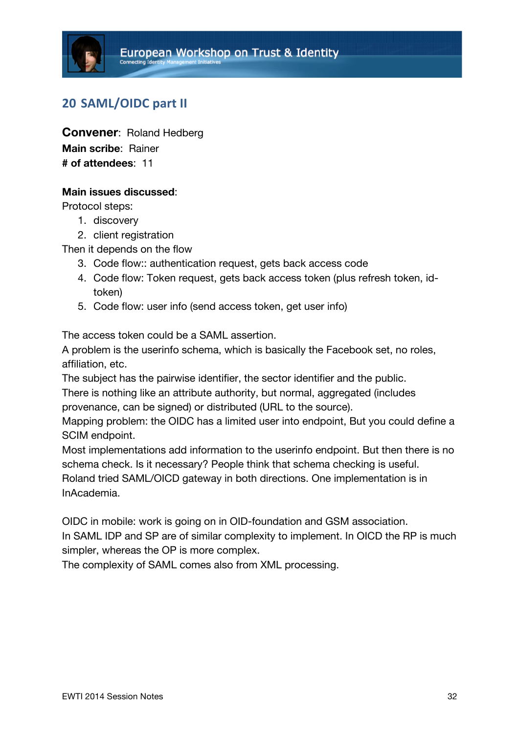## **20 SAML/OIDC part II**

**Convener**: Roland Hedberg **Main scribe**: Rainer **# of attendees**: 11

### **Main issues discussed**:

Protocol steps:

- 1. discovery
- 2. client registration

Then it depends on the flow

- 3. Code flow:: authentication request, gets back access code
- 4. Code flow: Token request, gets back access token (plus refresh token, idtoken)
- 5. Code flow: user info (send access token, get user info)

The access token could be a SAML assertion.

A problem is the userinfo schema, which is basically the Facebook set, no roles, affiliation, etc.

The subject has the pairwise identifier, the sector identifier and the public.

There is nothing like an attribute authority, but normal, aggregated (includes provenance, can be signed) or distributed (URL to the source).

Mapping problem: the OIDC has a limited user into endpoint, But you could define a SCIM endpoint.

Most implementations add information to the userinfo endpoint. But then there is no schema check. Is it necessary? People think that schema checking is useful. Roland tried SAML/OICD gateway in both directions. One implementation is in

InAcademia.

OIDC in mobile: work is going on in OID-foundation and GSM association.

In SAML IDP and SP are of similar complexity to implement. In OICD the RP is much simpler, whereas the OP is more complex.

The complexity of SAML comes also from XML processing.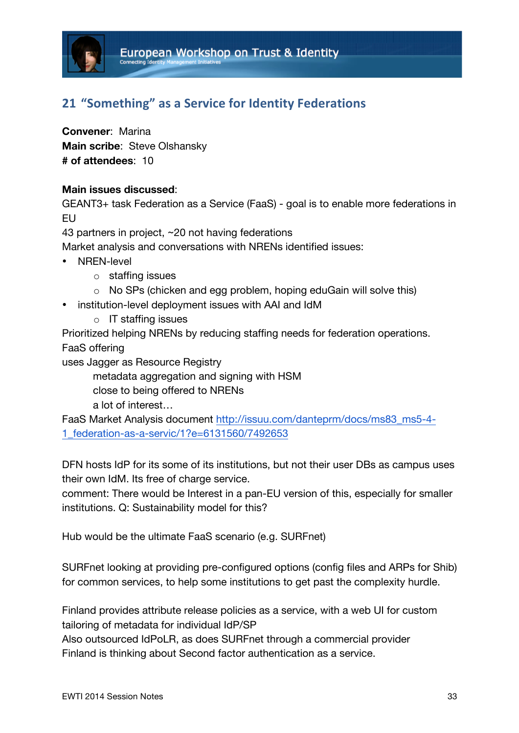# **21 "Something" as a Service for Identity Federations**

**Convener**: Marina **Main scribe**: Steve Olshansky **# of attendees**: 10

### **Main issues discussed**:

GEANT3+ task Federation as a Service (FaaS) - goal is to enable more federations in EU

43 partners in project, ~20 not having federations

Market analysis and conversations with NRENs identified issues:

- NREN-level
	- o staffing issues
	- o No SPs (chicken and egg problem, hoping eduGain will solve this)
- institution-level deployment issues with AAI and IdM
	- o IT staffing issues

Prioritized helping NRENs by reducing staffing needs for federation operations. FaaS offering

uses Jagger as Resource Registry

metadata aggregation and signing with HSM close to being offered to NRENs a lot of interest…

FaaS Market Analysis document http://issuu.com/danteprm/docs/ms83\_ms5-4- 1\_federation-as-a-servic/1?e=6131560/7492653

DFN hosts IdP for its some of its institutions, but not their user DBs as campus uses their own IdM. Its free of charge service.

comment: There would be Interest in a pan-EU version of this, especially for smaller institutions. Q: Sustainability model for this?

Hub would be the ultimate FaaS scenario (e.g. SURFnet)

SURFnet looking at providing pre-configured options (config files and ARPs for Shib) for common services, to help some institutions to get past the complexity hurdle.

Finland provides attribute release policies as a service, with a web UI for custom tailoring of metadata for individual IdP/SP

Also outsourced IdPoLR, as does SURFnet through a commercial provider Finland is thinking about Second factor authentication as a service.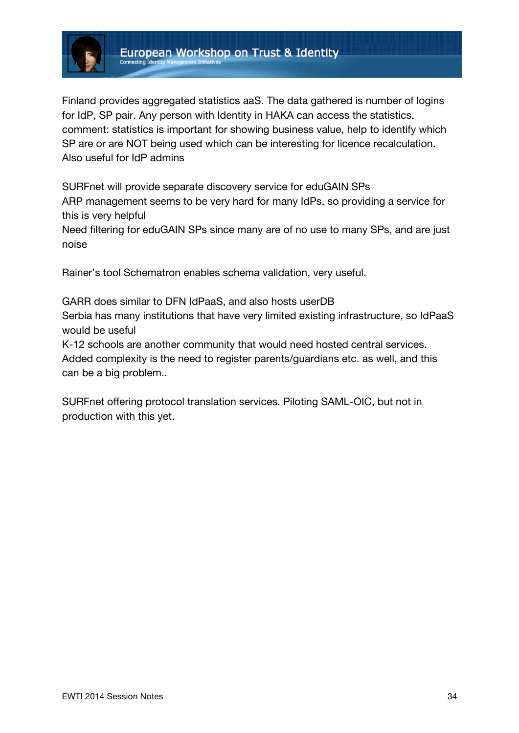

Finland provides aggregated statistics aaS. The data gathered is number of logins for IdP, SP pair. Any person with Identity in HAKA can access the statistics. comment: statistics is important for showing business value, help to identify which SP are or are NOT being used which can be interesting for licence recalculation. Also useful for IdP admins

SURFnet will provide separate discovery service for eduGAIN SPs ARP management seems to be very hard for many IdPs, so providing a service for this is very helpful

Need filtering for eduGAIN SPs since many are of no use to many SPs, and are just noise

Rainer's tool Schematron enables schema validation, very useful.

GARR does similar to DFN IdPaaS, and also hosts userDB Serbia has many institutions that have very limited existing infrastructure, so IdPaaS would be useful

K-12 schools are another community that would need hosted central services. Added complexity is the need to register parents/guardians etc. as well, and this can be a big problem..

SURFnet offering protocol translation services. Piloting SAML-OIC, but not in production with this yet.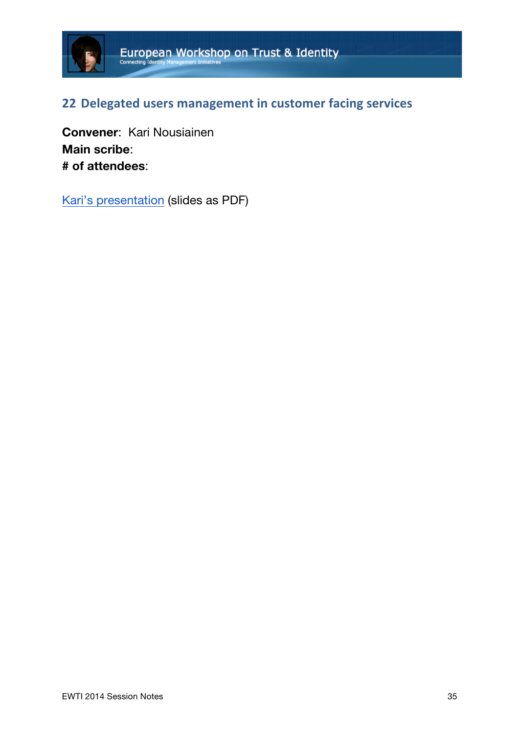

# **22 Delegated users management in customer facing services**

**Convener**: Kari Nousiainen **Main scribe**: **# of attendees**:

Kari's presentation (slides as PDF)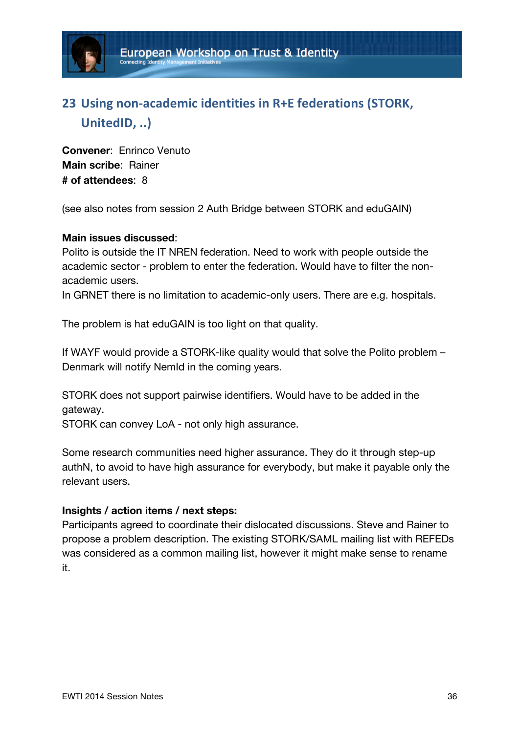

# **23** Using non-academic identities in R+E federations (STORK, UnitedID, ..)

**Convener**: Enrinco Venuto **Main scribe**: Rainer **# of attendees**: 8

(see also notes from session 2 Auth Bridge between STORK and eduGAIN)

### **Main issues discussed**:

Polito is outside the IT NREN federation. Need to work with people outside the academic sector - problem to enter the federation. Would have to filter the nonacademic users.

In GRNET there is no limitation to academic-only users. There are e.g. hospitals.

The problem is hat eduGAIN is too light on that quality.

If WAYF would provide a STORK-like quality would that solve the Polito problem – Denmark will notify NemId in the coming years.

STORK does not support pairwise identifiers. Would have to be added in the gateway.

STORK can convey LoA - not only high assurance.

Some research communities need higher assurance. They do it through step-up authN, to avoid to have high assurance for everybody, but make it payable only the relevant users.

### **Insights / action items / next steps:**

Participants agreed to coordinate their dislocated discussions. Steve and Rainer to propose a problem description. The existing STORK/SAML mailing list with REFEDs was considered as a common mailing list, however it might make sense to rename it.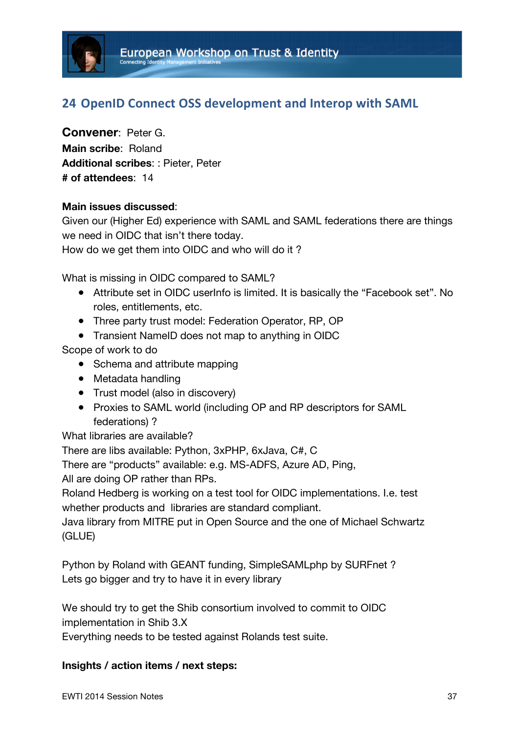

## **24 OpenID Connect OSS development and Interop with SAML**

**Convener**: Peter G. **Main scribe**: Roland **Additional scribes**: : Pieter, Peter **# of attendees**: 14

#### **Main issues discussed**:

Given our (Higher Ed) experience with SAML and SAML federations there are things we need in OIDC that isn't there today.

How do we get them into OIDC and who will do it ?

What is missing in OIDC compared to SAML?

- Attribute set in OIDC userInfo is limited. It is basically the "Facebook set". No roles, entitlements, etc.
- Three party trust model: Federation Operator, RP, OP
- Transient NameID does not map to anything in OIDC

Scope of work to do

- Schema and attribute mapping
- Metadata handling
- Trust model (also in discovery)
- Proxies to SAML world (including OP and RP descriptors for SAML federations) ?

What libraries are available?

There are libs available: Python, 3xPHP, 6xJava, C#, C

There are "products" available: e.g. MS-ADFS, Azure AD, Ping,

All are doing OP rather than RPs.

Roland Hedberg is working on a test tool for OIDC implementations. I.e. test whether products and libraries are standard compliant.

Java library from MITRE put in Open Source and the one of Michael Schwartz (GLUE)

Python by Roland with GEANT funding, SimpleSAMLphp by SURFnet ? Lets go bigger and try to have it in every library

We should try to get the Shib consortium involved to commit to OIDC implementation in Shib 3.X

Everything needs to be tested against Rolands test suite.

#### **Insights / action items / next steps:**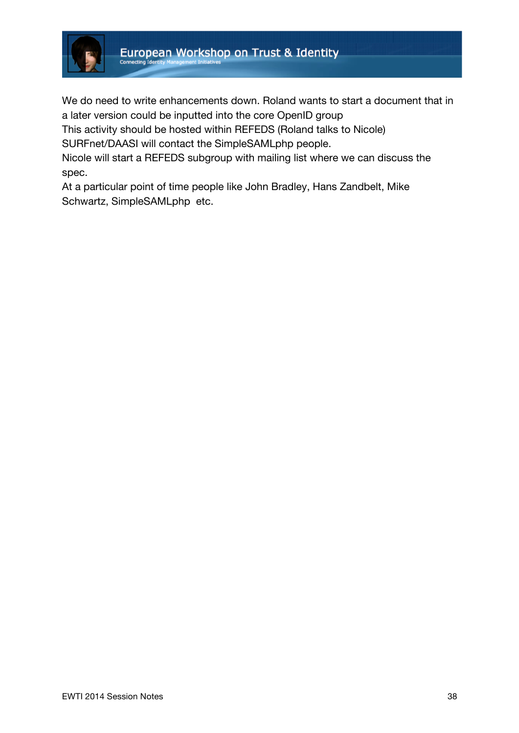

We do need to write enhancements down. Roland wants to start a document that in a later version could be inputted into the core OpenID group

This activity should be hosted within REFEDS (Roland talks to Nicole)

SURFnet/DAASI will contact the SimpleSAMLphp people.

Nicole will start a REFEDS subgroup with mailing list where we can discuss the spec.

At a particular point of time people like John Bradley, Hans Zandbelt, Mike Schwartz, SimpleSAMLphp etc.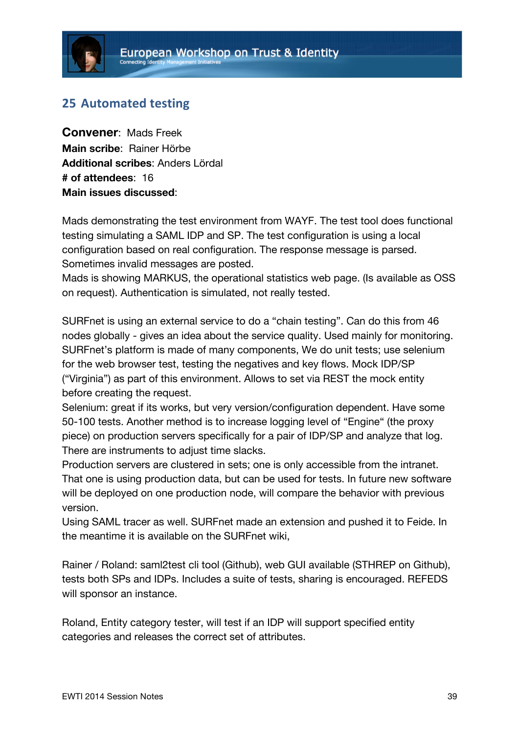## **25 Automated testing**

**Convener**: Mads Freek **Main scribe**: Rainer Hörbe **Additional scribes**: Anders Lördal **# of attendees**: 16 **Main issues discussed**:

Mads demonstrating the test environment from WAYF. The test tool does functional testing simulating a SAML IDP and SP. The test configuration is using a local configuration based on real configuration. The response message is parsed. Sometimes invalid messages are posted.

Mads is showing MARKUS, the operational statistics web page. (Is available as OSS on request). Authentication is simulated, not really tested.

SURFnet is using an external service to do a "chain testing". Can do this from 46 nodes globally - gives an idea about the service quality. Used mainly for monitoring. SURFnet's platform is made of many components, We do unit tests; use selenium for the web browser test, testing the negatives and key flows. Mock IDP/SP ("Virginia") as part of this environment. Allows to set via REST the mock entity before creating the request.

Selenium: great if its works, but very version/configuration dependent. Have some 50-100 tests. Another method is to increase logging level of "Engine" (the proxy piece) on production servers specifically for a pair of IDP/SP and analyze that log. There are instruments to adjust time slacks.

Production servers are clustered in sets; one is only accessible from the intranet. That one is using production data, but can be used for tests. In future new software will be deployed on one production node, will compare the behavior with previous version.

Using SAML tracer as well. SURFnet made an extension and pushed it to Feide. In the meantime it is available on the SURFnet wiki,

Rainer / Roland: saml2test cli tool (Github), web GUI available (STHREP on Github), tests both SPs and IDPs. Includes a suite of tests, sharing is encouraged. REFEDS will sponsor an instance.

Roland, Entity category tester, will test if an IDP will support specified entity categories and releases the correct set of attributes.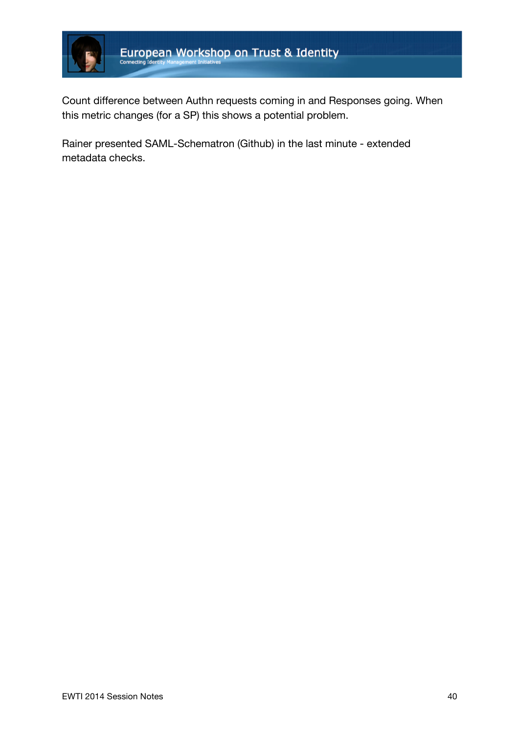

Count difference between Authn requests coming in and Responses going. When this metric changes (for a SP) this shows a potential problem.

Rainer presented SAML-Schematron (Github) in the last minute - extended metadata checks.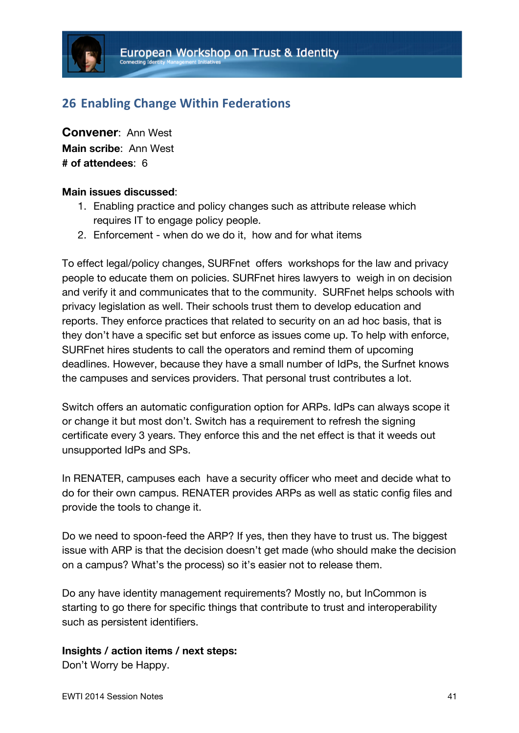## **26 Enabling Change Within Federations**

**Convener**: Ann West **Main scribe**: Ann West **# of attendees**: 6

#### **Main issues discussed**:

- 1. Enabling practice and policy changes such as attribute release which requires IT to engage policy people.
- 2. Enforcement when do we do it, how and for what items

To effect legal/policy changes, SURFnet offers workshops for the law and privacy people to educate them on policies. SURFnet hires lawyers to weigh in on decision and verify it and communicates that to the community. SURFnet helps schools with privacy legislation as well. Their schools trust them to develop education and reports. They enforce practices that related to security on an ad hoc basis, that is they don't have a specific set but enforce as issues come up. To help with enforce, SURFnet hires students to call the operators and remind them of upcoming deadlines. However, because they have a small number of IdPs, the Surfnet knows the campuses and services providers. That personal trust contributes a lot.

Switch offers an automatic configuration option for ARPs. IdPs can always scope it or change it but most don't. Switch has a requirement to refresh the signing certificate every 3 years. They enforce this and the net effect is that it weeds out unsupported IdPs and SPs.

In RENATER, campuses each have a security officer who meet and decide what to do for their own campus. RENATER provides ARPs as well as static config files and provide the tools to change it.

Do we need to spoon-feed the ARP? If yes, then they have to trust us. The biggest issue with ARP is that the decision doesn't get made (who should make the decision on a campus? What's the process) so it's easier not to release them.

Do any have identity management requirements? Mostly no, but InCommon is starting to go there for specific things that contribute to trust and interoperability such as persistent identifiers.

#### **Insights / action items / next steps:**

Don't Worry be Happy.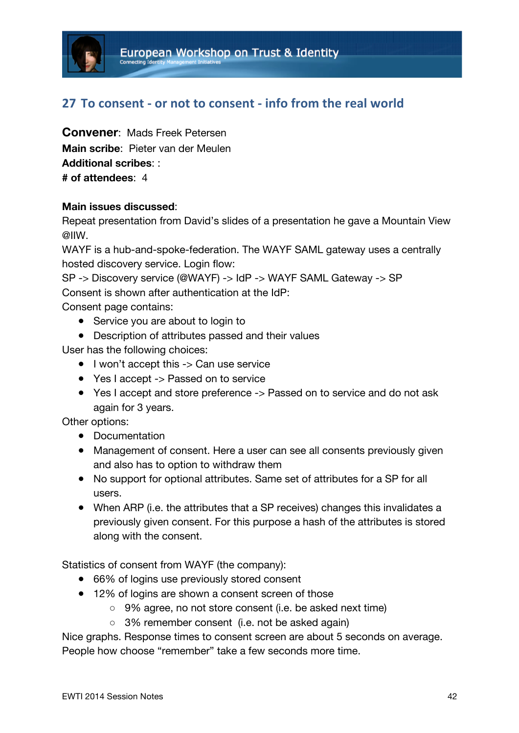

## **27 To consent - or not to consent - info from the real world**

**Convener**: Mads Freek Petersen **Main scribe**: Pieter van der Meulen **Additional scribes**: : **# of attendees**: 4

### **Main issues discussed**:

Repeat presentation from David's slides of a presentation he gave a Mountain View @IIW.

WAYF is a hub-and-spoke-federation. The WAYF SAML gateway uses a centrally hosted discovery service. Login flow:

SP -> Discovery service (@WAYF) -> IdP -> WAYF SAML Gateway -> SP Consent is shown after authentication at the IdP:

Consent page contains:

- Service you are about to login to
- Description of attributes passed and their values

User has the following choices:

- I won't accept this -> Can use service
- Yes I accept -> Passed on to service
- Yes I accept and store preference -> Passed on to service and do not ask again for 3 years.

Other options:

- Documentation
- Management of consent. Here a user can see all consents previously given and also has to option to withdraw them
- No support for optional attributes. Same set of attributes for a SP for all users.
- When ARP (i.e. the attributes that a SP receives) changes this invalidates a previously given consent. For this purpose a hash of the attributes is stored along with the consent.

Statistics of consent from WAYF (the company):

- 66% of logins use previously stored consent
- 12% of logins are shown a consent screen of those
	- 9% agree, no not store consent (i.e. be asked next time)
		- 3% remember consent (i.e. not be asked again)

Nice graphs. Response times to consent screen are about 5 seconds on average. People how choose "remember" take a few seconds more time.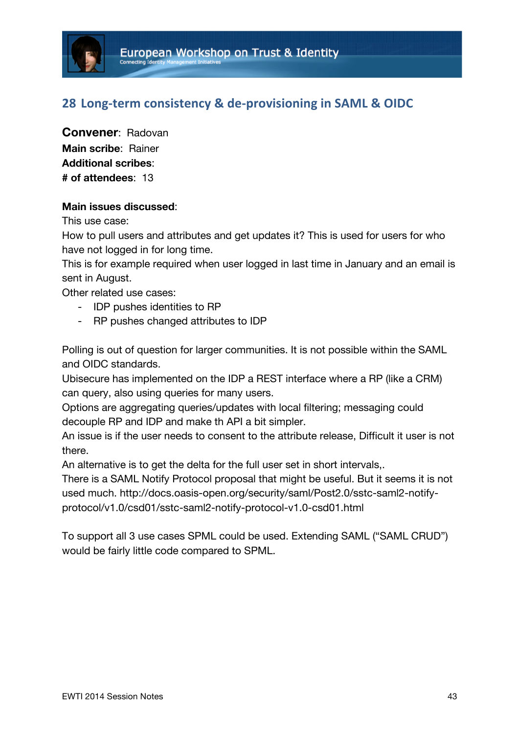## **28 Long-term consistency & de-provisioning in SAML & OIDC**

**Convener**: Radovan **Main scribe**: Rainer **Additional scribes**: **# of attendees**: 13

### **Main issues discussed**:

This use case:

How to pull users and attributes and get updates it? This is used for users for who have not logged in for long time.

This is for example required when user logged in last time in January and an email is sent in August.

Other related use cases:

- IDP pushes identities to RP
- RP pushes changed attributes to IDP

Polling is out of question for larger communities. It is not possible within the SAML and OIDC standards.

Ubisecure has implemented on the IDP a REST interface where a RP (like a CRM) can query, also using queries for many users.

Options are aggregating queries/updates with local filtering; messaging could decouple RP and IDP and make th API a bit simpler.

An issue is if the user needs to consent to the attribute release, Difficult it user is not there.

An alternative is to get the delta for the full user set in short intervals,.

There is a SAML Notify Protocol proposal that might be useful. But it seems it is not used much. http://docs.oasis-open.org/security/saml/Post2.0/sstc-saml2-notifyprotocol/v1.0/csd01/sstc-saml2-notify-protocol-v1.0-csd01.html

To support all 3 use cases SPML could be used. Extending SAML ("SAML CRUD") would be fairly little code compared to SPML.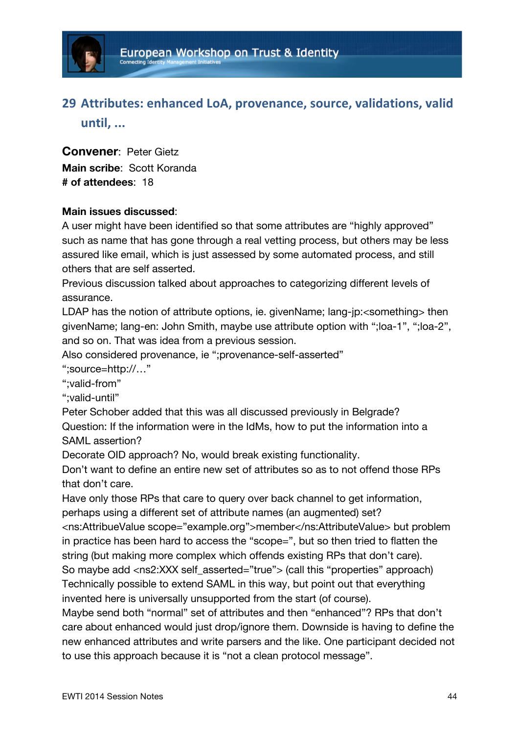

# **29 Attributes: enhanced LoA, provenance, source, validations, valid until, ...**

**Convener**: Peter Gietz **Main scribe**: Scott Koranda **# of attendees**: 18

### **Main issues discussed**:

A user might have been identified so that some attributes are "highly approved" such as name that has gone through a real vetting process, but others may be less assured like email, which is just assessed by some automated process, and still others that are self asserted.

Previous discussion talked about approaches to categorizing different levels of assurance.

LDAP has the notion of attribute options, ie, givenName; lang-ip:<something> then givenName; lang-en: John Smith, maybe use attribute option with ";loa-1", ";loa-2", and so on. That was idea from a previous session.

Also considered provenance, ie ";provenance-self-asserted"

";source=http://…"

";valid-from"

";valid-until"

Peter Schober added that this was all discussed previously in Belgrade? Question: If the information were in the IdMs, how to put the information into a SAML assertion?

Decorate OID approach? No, would break existing functionality.

Don't want to define an entire new set of attributes so as to not offend those RPs that don't care.

Have only those RPs that care to query over back channel to get information, perhaps using a different set of attribute names (an augmented) set?

<ns:AttribueValue scope="example.org">member</ns:AttributeValue> but problem in practice has been hard to access the "scope=", but so then tried to flatten the string (but making more complex which offends existing RPs that don't care).

So maybe add <ns2:XXX self\_asserted="true"> (call this "properties" approach) Technically possible to extend SAML in this way, but point out that everything invented here is universally unsupported from the start (of course).

Maybe send both "normal" set of attributes and then "enhanced"? RPs that don't care about enhanced would just drop/ignore them. Downside is having to define the new enhanced attributes and write parsers and the like. One participant decided not to use this approach because it is "not a clean protocol message".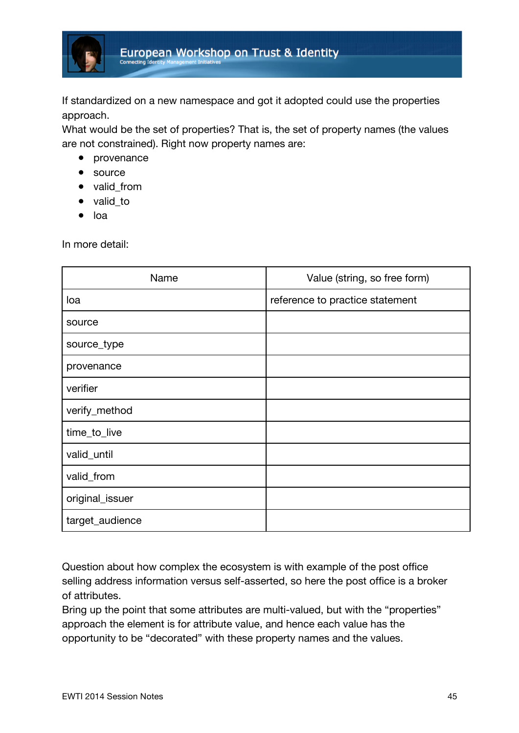

If standardized on a new namespace and got it adopted could use the properties approach.

What would be the set of properties? That is, the set of property names (the values are not constrained). Right now property names are:

- provenance
- source
- valid from
- valid\_to
- loa

In more detail:

| Name            | Value (string, so free form)    |
|-----------------|---------------------------------|
| loa             | reference to practice statement |
| source          |                                 |
| source_type     |                                 |
| provenance      |                                 |
| verifier        |                                 |
| verify_method   |                                 |
| time_to_live    |                                 |
| valid_until     |                                 |
| valid_from      |                                 |
| original_issuer |                                 |
| target_audience |                                 |

Question about how complex the ecosystem is with example of the post office selling address information versus self-asserted, so here the post office is a broker of attributes.

Bring up the point that some attributes are multi-valued, but with the "properties" approach the element is for attribute value, and hence each value has the opportunity to be "decorated" with these property names and the values.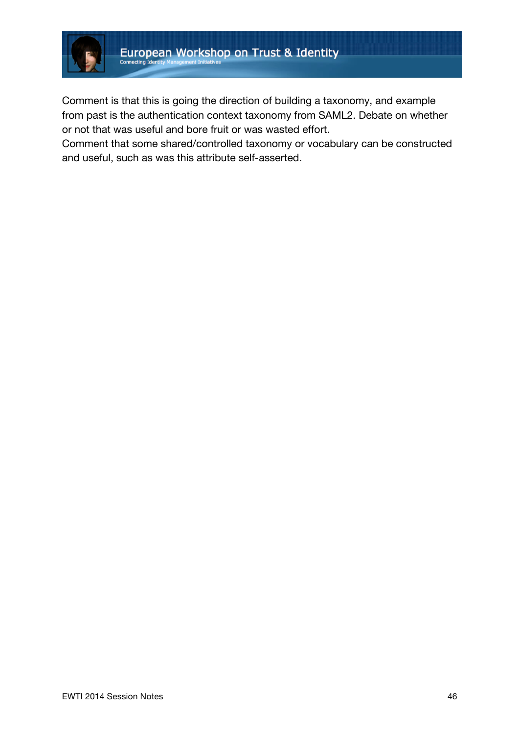

Comment is that this is going the direction of building a taxonomy, and example from past is the authentication context taxonomy from SAML2. Debate on whether or not that was useful and bore fruit or was wasted effort.

Comment that some shared/controlled taxonomy or vocabulary can be constructed and useful, such as was this attribute self-asserted.